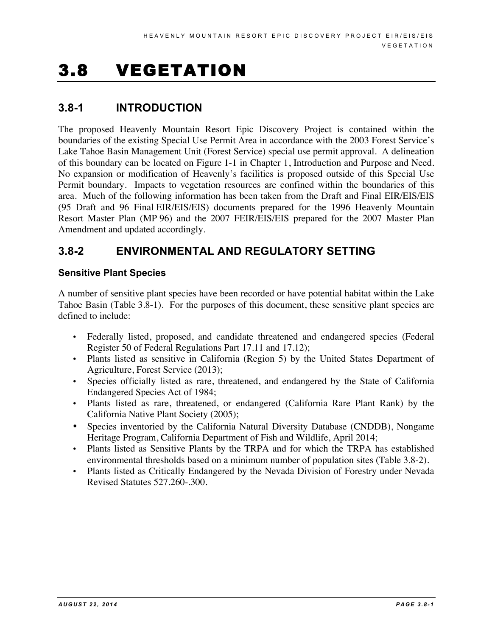# 3.8 VEGETATION

## **3.8-1 INTRODUCTION**

The proposed Heavenly Mountain Resort Epic Discovery Project is contained within the boundaries of the existing Special Use Permit Area in accordance with the 2003 Forest Service's Lake Tahoe Basin Management Unit (Forest Service) special use permit approval. A delineation of this boundary can be located on Figure 1-1 in Chapter 1, Introduction and Purpose and Need. No expansion or modification of Heavenly's facilities is proposed outside of this Special Use Permit boundary. Impacts to vegetation resources are confined within the boundaries of this area. Much of the following information has been taken from the Draft and Final EIR/EIS/EIS (95 Draft and 96 Final EIR/EIS/EIS) documents prepared for the 1996 Heavenly Mountain Resort Master Plan (MP 96) and the 2007 FEIR/EIS/EIS prepared for the 2007 Master Plan Amendment and updated accordingly.

## **3.8-2 ENVIRONMENTAL AND REGULATORY SETTING**

#### **Sensitive Plant Species**

A number of sensitive plant species have been recorded or have potential habitat within the Lake Tahoe Basin (Table 3.8-1). For the purposes of this document, these sensitive plant species are defined to include:

- Federally listed, proposed, and candidate threatened and endangered species (Federal Register 50 of Federal Regulations Part 17.11 and 17.12);
- Plants listed as sensitive in California (Region 5) by the United States Department of Agriculture, Forest Service (2013);
- Species officially listed as rare, threatened, and endangered by the State of California Endangered Species Act of 1984;
- Plants listed as rare, threatened, or endangered (California Rare Plant Rank) by the California Native Plant Society (2005);
- Species inventoried by the California Natural Diversity Database (CNDDB), Nongame Heritage Program, California Department of Fish and Wildlife, April 2014;
- Plants listed as Sensitive Plants by the TRPA and for which the TRPA has established environmental thresholds based on a minimum number of population sites (Table 3.8-2).
- Plants listed as Critically Endangered by the Nevada Division of Forestry under Nevada Revised Statutes 527.260-.300.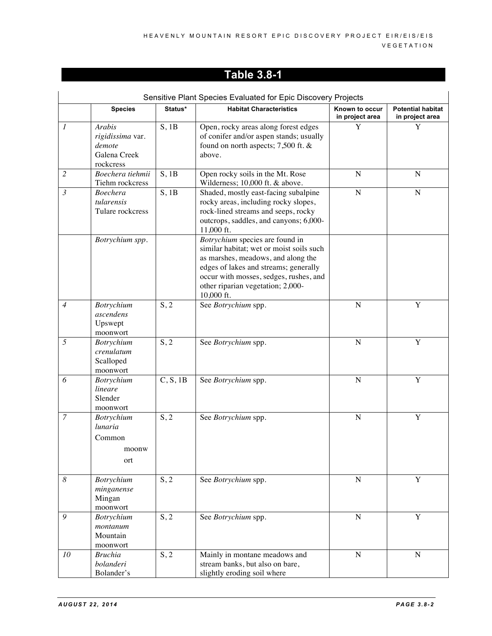|                  | Sensitive Plant Species Evaluated for Epic Discovery Projects            |             |                                                                                                                                                                                                                                                         |                                   |                                             |
|------------------|--------------------------------------------------------------------------|-------------|---------------------------------------------------------------------------------------------------------------------------------------------------------------------------------------------------------------------------------------------------------|-----------------------------------|---------------------------------------------|
|                  | <b>Species</b>                                                           | Status*     | <b>Habitat Characteristics</b>                                                                                                                                                                                                                          | Known to occur<br>in project area | <b>Potential habitat</b><br>in project area |
| $\mathcal{I}$    | <b>Arabis</b><br>rigidissima var.<br>demote<br>Galena Creek<br>rockcress | $S$ , 1 $B$ | Open, rocky areas along forest edges<br>of conifer and/or aspen stands; usually<br>found on north aspects; 7,500 ft. &<br>above.                                                                                                                        | Y                                 | Y                                           |
| $\overline{2}$   | Boechera tiehmii<br>Tiehm rockcress                                      | $S$ , 1 $B$ | Open rocky soils in the Mt. Rose<br>Wilderness; 10,000 ft. & above.                                                                                                                                                                                     | $\mathbf N$                       | $\mathbf N$                                 |
| $\mathfrak{Z}$   | <b>Boechera</b><br>tularensis<br>Tulare rockcress                        | $S$ , 1B    | Shaded, mostly east-facing subalpine<br>rocky areas, including rocky slopes,<br>rock-lined streams and seeps, rocky<br>outcrops, saddles, and canyons; 6,000-<br>11,000 ft.                                                                             | $\mathbf N$                       | N                                           |
|                  | Botrychium spp.                                                          |             | Botrychium species are found in<br>similar habitat; wet or moist soils such<br>as marshes, meadows, and along the<br>edges of lakes and streams; generally<br>occur with mosses, sedges, rushes, and<br>other riparian vegetation; 2,000-<br>10,000 ft. |                                   |                                             |
| $\overline{4}$   | Botrychium<br>ascendens<br>Upswept<br>moonwort                           | S, 2        | See Botrychium spp.                                                                                                                                                                                                                                     | $\overline{N}$                    | Y                                           |
| 5                | Botrychium<br>crenulatum<br>Scalloped<br>moonwort                        | S, 2        | See Botrychium spp.                                                                                                                                                                                                                                     | $\mathbf N$                       | Y                                           |
| 6                | <b>Botrychium</b><br>lineare<br>Slender<br>moonwort                      | C, S, 1B    | See Botrychium spp.                                                                                                                                                                                                                                     | $\mathbf N$                       | $\mathbf Y$                                 |
| $\overline{7}$   | Botrychium<br>lunaria<br>Common<br>moonw<br>ort                          | S, 2        | See Botrychium spp.                                                                                                                                                                                                                                     | ${\bf N}$                         | Y                                           |
| $\boldsymbol{8}$ | Botrychium<br>minganense<br>Mingan<br>moonwort                           | S, 2        | See Botrychium spp.                                                                                                                                                                                                                                     | ${\bf N}$                         | Y                                           |
| 9                | Botrychium<br>montanum<br>Mountain<br>moonwort                           | S, 2        | See Botrychium spp.                                                                                                                                                                                                                                     | ${\bf N}$                         | Y                                           |
| 10               | <b>Bruchia</b><br>bolanderi<br>Bolander's                                | S, 2        | Mainly in montane meadows and<br>stream banks, but also on bare,<br>slightly eroding soil where                                                                                                                                                         | ${\bf N}$                         | $\mathbf N$                                 |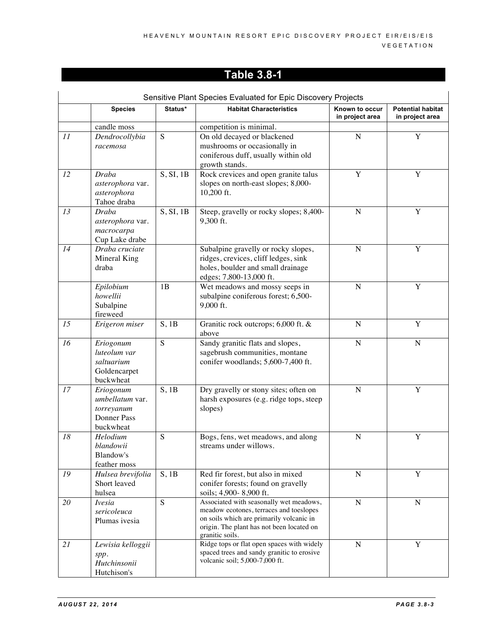|    |                           |                | Sensitive Plant Species Evaluated for Epic Discovery Projects                            |                                   |                                             |
|----|---------------------------|----------------|------------------------------------------------------------------------------------------|-----------------------------------|---------------------------------------------|
|    | <b>Species</b>            | Status*        | <b>Habitat Characteristics</b>                                                           | Known to occur<br>in project area | <b>Potential habitat</b><br>in project area |
|    | candle moss               |                | competition is minimal.                                                                  |                                   |                                             |
| II | Dendrocollybia            | S              | On old decayed or blackened                                                              | $\mathbf N$                       | Y                                           |
|    | racemosa                  |                | mushrooms or occasionally in                                                             |                                   |                                             |
|    |                           |                | coniferous duff, usually within old                                                      |                                   |                                             |
|    |                           |                | growth stands.                                                                           |                                   |                                             |
| 12 | Draba                     | S, SI, 1B      | Rock crevices and open granite talus                                                     | Y                                 | Y                                           |
|    | asterophora var.          |                | slopes on north-east slopes; 8,000-                                                      |                                   |                                             |
|    | asterophora               |                | 10,200 ft.                                                                               |                                   |                                             |
|    | Tahoe draba               |                |                                                                                          |                                   |                                             |
| 13 | Draba                     | S, SI, 1B      | Steep, gravelly or rocky slopes; 8,400-                                                  | ${\bf N}$                         | Y                                           |
|    | asterophora var.          |                | 9,300 ft.                                                                                |                                   |                                             |
|    | macrocarpa                |                |                                                                                          |                                   |                                             |
|    | Cup Lake drabe            |                |                                                                                          |                                   |                                             |
| 14 | Draba cruciate            |                | Subalpine gravelly or rocky slopes,                                                      | ${\bf N}$                         | $\mathbf Y$                                 |
|    | Mineral King<br>draba     |                | ridges, crevices, cliff ledges, sink                                                     |                                   |                                             |
|    |                           |                | holes, boulder and small drainage                                                        |                                   |                                             |
|    | Epilobium                 | 1B             | edges; 7,800-13,000 ft.<br>Wet meadows and mossy seeps in                                | ${\bf N}$                         | Y                                           |
|    | howellii                  |                | subalpine coniferous forest; 6,500-                                                      |                                   |                                             |
|    | Subalpine                 |                | 9,000 ft.                                                                                |                                   |                                             |
|    | fireweed                  |                |                                                                                          |                                   |                                             |
| 15 | Erigeron miser            | $S$ , 1B       | Granitic rock outcrops; 6,000 ft. &                                                      | ${\bf N}$                         | Y                                           |
|    |                           |                | above                                                                                    |                                   |                                             |
| 16 | Eriogonum                 | S              | Sandy granitic flats and slopes,                                                         | ${\bf N}$                         | $\mathbf N$                                 |
|    | luteolum var              |                | sagebrush communities, montane                                                           |                                   |                                             |
|    | saltuarium                |                | conifer woodlands; 5,600-7,400 ft.                                                       |                                   |                                             |
|    | Goldencarpet              |                |                                                                                          |                                   |                                             |
|    | buckwheat                 |                |                                                                                          |                                   |                                             |
| 17 | Eriogonum                 | S, 1B          | Dry gravelly or stony sites; often on                                                    | ${\bf N}$                         | Y                                           |
|    | umbellatum var.           |                | harsh exposures (e.g. ridge tops, steep                                                  |                                   |                                             |
|    | torreyanum                |                | slopes)                                                                                  |                                   |                                             |
|    | <b>Donner Pass</b>        |                |                                                                                          |                                   |                                             |
|    | buckwheat                 |                |                                                                                          |                                   |                                             |
| 18 | Helodium                  | S              | Bogs, fens, wet meadows, and along                                                       | $\mathbf N$                       | $\mathbf Y$                                 |
|    | blandowii                 |                | streams under willows.                                                                   |                                   |                                             |
|    | Blandow's<br>feather moss |                |                                                                                          |                                   |                                             |
| 19 | Hulsea brevifolia         | $S$ , 1B       | Red fir forest, but also in mixed                                                        | ${\bf N}$                         | Y                                           |
|    | Short leaved              |                | conifer forests; found on gravelly                                                       |                                   |                                             |
|    | hulsea                    |                | soils; 4,900-8,900 ft.                                                                   |                                   |                                             |
| 20 | <b>Ivesia</b>             | $\overline{S}$ | Associated with seasonally wet meadows,                                                  | ${\bf N}$                         | $\mathbf N$                                 |
|    | sericoleuca               |                | meadow ecotones, terraces and toeslopes                                                  |                                   |                                             |
|    | Plumas ivesia             |                | on soils which are primarily volcanic in                                                 |                                   |                                             |
|    |                           |                | origin. The plant has not been located on                                                |                                   |                                             |
|    |                           |                | granitic soils.                                                                          |                                   |                                             |
| 21 | Lewisia kelloggii         |                | Ridge tops or flat open spaces with widely<br>spaced trees and sandy granitic to erosive | ${\bf N}$                         | Y                                           |
|    | spp.                      |                | volcanic soil; 5,000-7,000 ft.                                                           |                                   |                                             |
|    | Hutchinsonii              |                |                                                                                          |                                   |                                             |
|    | Hutchison's               |                |                                                                                          |                                   |                                             |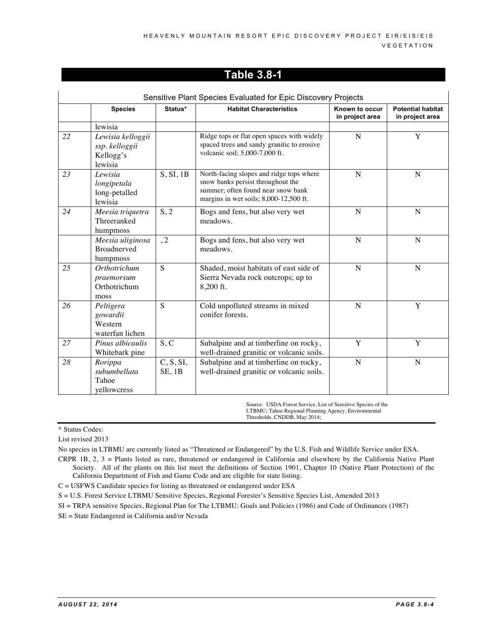|    |                                                             |                        | Sensitive Plant Species Evaluated for Epic Discovery Projects                                                                                                 |                                   |                                             |
|----|-------------------------------------------------------------|------------------------|---------------------------------------------------------------------------------------------------------------------------------------------------------------|-----------------------------------|---------------------------------------------|
|    | <b>Species</b>                                              | Status*                | <b>Habitat Characteristics</b>                                                                                                                                | Known to occur<br>in project area | <b>Potential habitat</b><br>in project area |
|    | lewisia                                                     |                        |                                                                                                                                                               |                                   |                                             |
| 22 | Lewisia kelloggii<br>ssp. kelloggii<br>Kellogg's<br>lewisia |                        | Ridge tops or flat open spaces with widely<br>spaced trees and sandy granitic to erosive<br>volcanic soil; 5,000-7,000 ft.                                    | $\mathbf N$                       | Y                                           |
| 23 | Lewisia<br>longipetala<br>long-petalled<br>lewisia          | S, SI, 1B              | North-facing slopes and ridge tops where<br>snow banks persist throughout the<br>summer; often found near snow bank<br>margins in wet soils; 8,000-12,500 ft. | N                                 | N                                           |
| 24 | Meesia triquetra<br>Threeranked<br>humpmoss                 | S, 2                   | Bogs and fens, but also very wet<br>meadows.                                                                                                                  | $\mathbf N$                       | $\mathbf N$                                 |
|    | Meesia uliginosa<br><b>Broadnerved</b><br>humpmoss          | , 2                    | Bogs and fens, but also very wet<br>meadows.                                                                                                                  | N                                 | N                                           |
| 25 | Orthotrichum<br>praemorsum<br>Orthotrichum<br>moss          | S                      | Shaded, moist habitats of east side of<br>Sierra Nevada rock outcrops; up to<br>8,200 ft.                                                                     | N                                 | N                                           |
| 26 | Peltigera<br>gowardii<br>Western<br>waterfan lichen         | $\overline{S}$         | Cold unpolluted streams in mixed<br>conifer forests.                                                                                                          | N                                 | $\overline{Y}$                              |
| 27 | Pinus albicaulis<br>Whitebark pine                          | S, C                   | Subalpine and at timberline on rocky,<br>well-drained granitic or volcanic soils.                                                                             | Y                                 | Y                                           |
| 28 | Rorippa<br>subumbellata<br>Tahoe<br>yellowcress             | C, S, SI,<br>$SE$ , 1B | Subalpine and at timberline on rocky,<br>well-drained granitic or volcanic soils.                                                                             | N                                 | N                                           |

Source: USDA Forest Service, List of Sensitive Species of the LTBMU; Tahoe Regional Planning Agency, Environmental Thresholds. CNDDB, May 2014;

\* Status Codes:

List revised 2013

No species in LTBMU are currently listed as "Threatened or Endangered" by the U.S. Fish and Wildlife Service under ESA.

CRPR 1B, 2, 3 = Plants listed as rare, threatened or endangered in California and elsewhere by the California Native Plant Society. All of the plants on this list meet the definitions of Section 1901, Chapter 10 (Native Plant Protection) of the California Department of Fish and Game Code and are eligible for state listing.

C = USFWS Candidate species for listing as threatened or endangered under ESA

S = U.S. Forest Service LTBMU Sensitive Species, Regional Forester's Sensitive Species List, Amended 2013

SI = TRPA sensitive Species, Regional Plan for The LTBMU: Goals and Policies (1986) and Code of Ordinances (1987)

SE = State Endangered in California and/or Nevada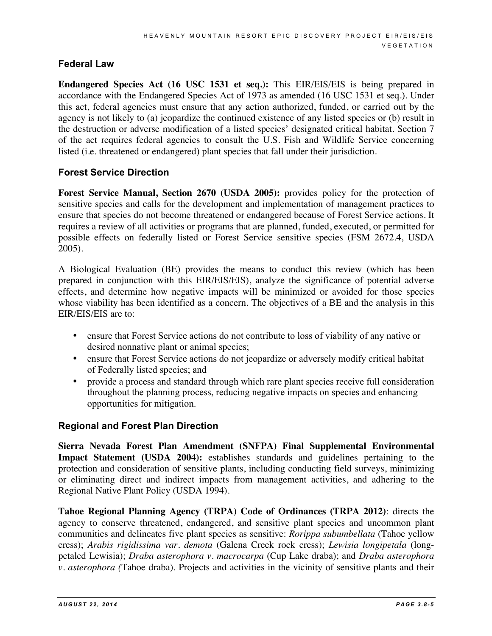#### **Federal Law**

**Endangered Species Act (16 USC 1531 et seq.):** This EIR/EIS/EIS is being prepared in accordance with the Endangered Species Act of 1973 as amended (16 USC 1531 et seq.). Under this act, federal agencies must ensure that any action authorized, funded, or carried out by the agency is not likely to (a) jeopardize the continued existence of any listed species or (b) result in the destruction or adverse modification of a listed species' designated critical habitat. Section 7 of the act requires federal agencies to consult the U.S. Fish and Wildlife Service concerning listed (i.e. threatened or endangered) plant species that fall under their jurisdiction.

#### **Forest Service Direction**

**Forest Service Manual, Section 2670 (USDA 2005):** provides policy for the protection of sensitive species and calls for the development and implementation of management practices to ensure that species do not become threatened or endangered because of Forest Service actions. It requires a review of all activities or programs that are planned, funded, executed, or permitted for possible effects on federally listed or Forest Service sensitive species (FSM 2672.4, USDA 2005).

A Biological Evaluation (BE) provides the means to conduct this review (which has been prepared in conjunction with this EIR/EIS/EIS), analyze the significance of potential adverse effects, and determine how negative impacts will be minimized or avoided for those species whose viability has been identified as a concern. The objectives of a BE and the analysis in this EIR/EIS/EIS are to:

- ensure that Forest Service actions do not contribute to loss of viability of any native or desired nonnative plant or animal species;
- ensure that Forest Service actions do not jeopardize or adversely modify critical habitat of Federally listed species; and
- provide a process and standard through which rare plant species receive full consideration throughout the planning process, reducing negative impacts on species and enhancing opportunities for mitigation.

#### **Regional and Forest Plan Direction**

**Sierra Nevada Forest Plan Amendment (SNFPA) Final Supplemental Environmental Impact Statement (USDA 2004):** establishes standards and guidelines pertaining to the protection and consideration of sensitive plants, including conducting field surveys, minimizing or eliminating direct and indirect impacts from management activities, and adhering to the Regional Native Plant Policy (USDA 1994).

**Tahoe Regional Planning Agency (TRPA) Code of Ordinances (TRPA 2012)**: directs the agency to conserve threatened, endangered, and sensitive plant species and uncommon plant communities and delineates five plant species as sensitive: *Rorippa subumbellata* (Tahoe yellow cress); *Arabis rigidissima var. demota* (Galena Creek rock cress); *Lewisia longipetala* (longpetaled Lewisia); *Draba asterophora v. macrocarpa* (Cup Lake draba); and *Draba asterophora v. asterophora (*Tahoe draba). Projects and activities in the vicinity of sensitive plants and their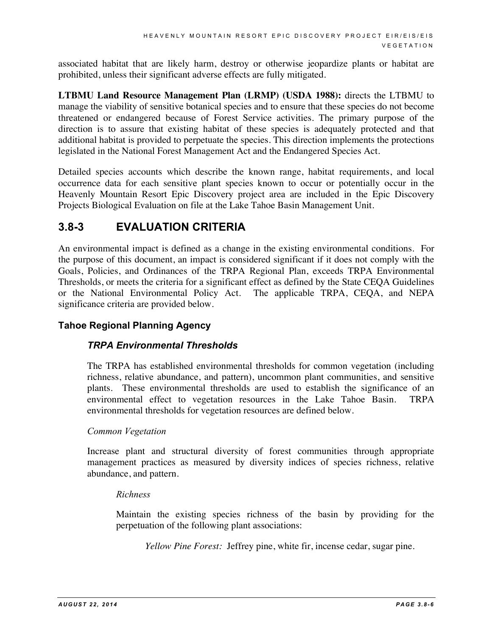associated habitat that are likely harm, destroy or otherwise jeopardize plants or habitat are prohibited, unless their significant adverse effects are fully mitigated.

**LTBMU Land Resource Management Plan (LRMP) (USDA 1988):** directs the LTBMU to manage the viability of sensitive botanical species and to ensure that these species do not become threatened or endangered because of Forest Service activities. The primary purpose of the direction is to assure that existing habitat of these species is adequately protected and that additional habitat is provided to perpetuate the species. This direction implements the protections legislated in the National Forest Management Act and the Endangered Species Act.

Detailed species accounts which describe the known range, habitat requirements, and local occurrence data for each sensitive plant species known to occur or potentially occur in the Heavenly Mountain Resort Epic Discovery project area are included in the Epic Discovery Projects Biological Evaluation on file at the Lake Tahoe Basin Management Unit.

### **3.8-3 EVALUATION CRITERIA**

An environmental impact is defined as a change in the existing environmental conditions. For the purpose of this document, an impact is considered significant if it does not comply with the Goals, Policies, and Ordinances of the TRPA Regional Plan, exceeds TRPA Environmental Thresholds, or meets the criteria for a significant effect as defined by the State CEQA Guidelines or the National Environmental Policy Act. The applicable TRPA, CEQA, and NEPA significance criteria are provided below.

#### **Tahoe Regional Planning Agency**

#### *TRPA Environmental Thresholds*

The TRPA has established environmental thresholds for common vegetation (including richness, relative abundance, and pattern), uncommon plant communities, and sensitive plants. These environmental thresholds are used to establish the significance of an environmental effect to vegetation resources in the Lake Tahoe Basin. TRPA environmental thresholds for vegetation resources are defined below.

#### *Common Vegetation*

Increase plant and structural diversity of forest communities through appropriate management practices as measured by diversity indices of species richness, relative abundance, and pattern.

#### *Richness*

Maintain the existing species richness of the basin by providing for the perpetuation of the following plant associations:

*Yellow Pine Forest:* Jeffrey pine, white fir, incense cedar, sugar pine.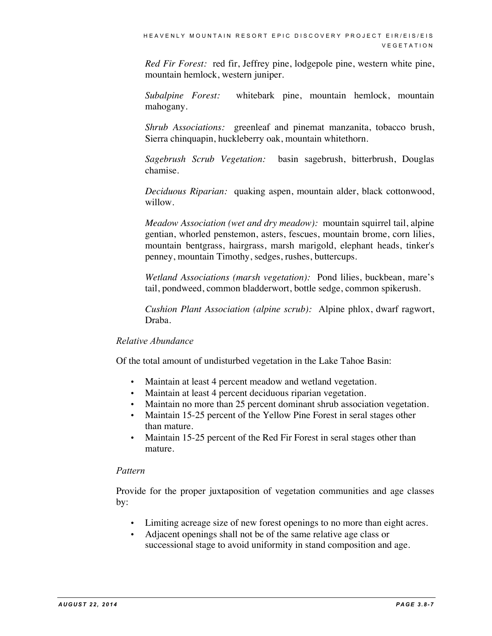*Red Fir Forest:* red fir, Jeffrey pine, lodgepole pine, western white pine, mountain hemlock, western juniper.

*Subalpine Forest:* whitebark pine, mountain hemlock, mountain mahogany.

*Shrub Associations:* greenleaf and pinemat manzanita, tobacco brush, Sierra chinquapin, huckleberry oak, mountain whitethorn.

*Sagebrush Scrub Vegetation:* basin sagebrush, bitterbrush, Douglas chamise.

*Deciduous Riparian:* quaking aspen, mountain alder, black cottonwood, willow.

*Meadow Association (wet and dry meadow):* mountain squirrel tail, alpine gentian, whorled penstemon, asters, fescues, mountain brome, corn lilies, mountain bentgrass, hairgrass, marsh marigold, elephant heads, tinker's penney, mountain Timothy, sedges, rushes, buttercups.

*Wetland Associations (marsh vegetation):* Pond lilies, buckbean, mare's tail, pondweed, common bladderwort, bottle sedge, common spikerush.

*Cushion Plant Association (alpine scrub):* Alpine phlox, dwarf ragwort, Draba.

#### *Relative Abundance*

Of the total amount of undisturbed vegetation in the Lake Tahoe Basin:

- Maintain at least 4 percent meadow and wetland vegetation.
- Maintain at least 4 percent deciduous riparian vegetation.
- Maintain no more than 25 percent dominant shrub association vegetation.
- Maintain 15-25 percent of the Yellow Pine Forest in seral stages other than mature.
- Maintain 15-25 percent of the Red Fir Forest in seral stages other than mature.

#### *Pattern*

Provide for the proper juxtaposition of vegetation communities and age classes by:

- Limiting acreage size of new forest openings to no more than eight acres.
- Adjacent openings shall not be of the same relative age class or successional stage to avoid uniformity in stand composition and age.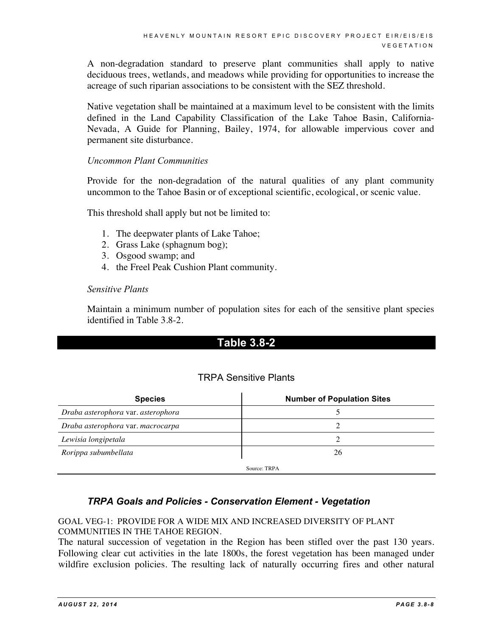A non-degradation standard to preserve plant communities shall apply to native deciduous trees, wetlands, and meadows while providing for opportunities to increase the acreage of such riparian associations to be consistent with the SEZ threshold.

Native vegetation shall be maintained at a maximum level to be consistent with the limits defined in the Land Capability Classification of the Lake Tahoe Basin, California-Nevada, A Guide for Planning, Bailey, 1974, for allowable impervious cover and permanent site disturbance.

#### *Uncommon Plant Communities*

Provide for the non-degradation of the natural qualities of any plant community uncommon to the Tahoe Basin or of exceptional scientific, ecological, or scenic value.

This threshold shall apply but not be limited to:

- 1. The deepwater plants of Lake Tahoe;
- 2. Grass Lake (sphagnum bog);
- 3. Osgood swamp; and
- 4. the Freel Peak Cushion Plant community.

#### *Sensitive Plants*

Maintain a minimum number of population sites for each of the sensitive plant species identified in Table 3.8-2.

#### **Table 3.8-2**

#### TRPA Sensitive Plants

| <b>Species</b>                     | <b>Number of Population Sites</b> |  |
|------------------------------------|-----------------------------------|--|
| Draba asterophora var. asterophora |                                   |  |
| Draba asterophora var. macrocarpa  |                                   |  |
| Lewisia longipetala                |                                   |  |
| Rorippa subumbellata               | 26                                |  |
|                                    | Source: TRPA                      |  |

#### *TRPA Goals and Policies - Conservation Element - Vegetation*

#### GOAL VEG-1: PROVIDE FOR A WIDE MIX AND INCREASED DIVERSITY OF PLANT COMMUNITIES IN THE TAHOE REGION.

The natural succession of vegetation in the Region has been stifled over the past 130 years. Following clear cut activities in the late 1800s, the forest vegetation has been managed under wildfire exclusion policies. The resulting lack of naturally occurring fires and other natural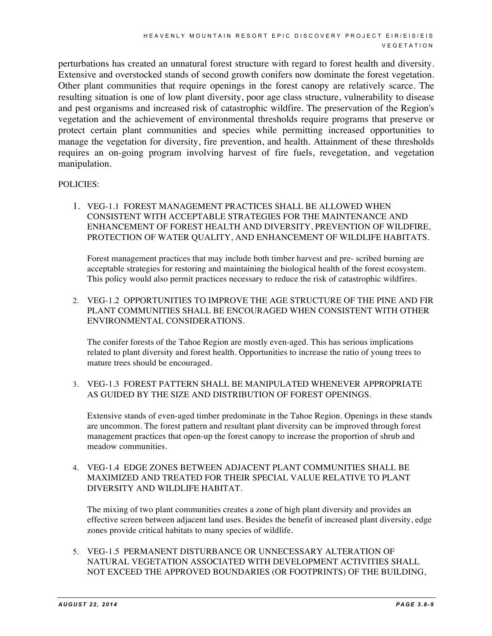perturbations has created an unnatural forest structure with regard to forest health and diversity. Extensive and overstocked stands of second growth conifers now dominate the forest vegetation. Other plant communities that require openings in the forest canopy are relatively scarce. The resulting situation is one of low plant diversity, poor age class structure, vulnerability to disease and pest organisms and increased risk of catastrophic wildfire. The preservation of the Region's vegetation and the achievement of environmental thresholds require programs that preserve or protect certain plant communities and species while permitting increased opportunities to manage the vegetation for diversity, fire prevention, and health. Attainment of these thresholds requires an on-going program involving harvest of fire fuels, revegetation, and vegetation manipulation.

#### POLICIES:

1. VEG-1.1 FOREST MANAGEMENT PRACTICES SHALL BE ALLOWED WHEN CONSISTENT WITH ACCEPTABLE STRATEGIES FOR THE MAINTENANCE AND ENHANCEMENT OF FOREST HEALTH AND DIVERSITY, PREVENTION OF WILDFIRE, PROTECTION OF WATER QUALITY, AND ENHANCEMENT OF WILDLIFE HABITATS.

Forest management practices that may include both timber harvest and pre- scribed burning are acceptable strategies for restoring and maintaining the biological health of the forest ecosystem. This policy would also permit practices necessary to reduce the risk of catastrophic wildfires.

2. VEG-1.2 OPPORTUNITIES TO IMPROVE THE AGE STRUCTURE OF THE PINE AND FIR PLANT COMMUNITIES SHALL BE ENCOURAGED WHEN CONSISTENT WITH OTHER ENVIRONMENTAL CONSIDERATIONS.

The conifer forests of the Tahoe Region are mostly even-aged. This has serious implications related to plant diversity and forest health. Opportunities to increase the ratio of young trees to mature trees should be encouraged.

#### 3. VEG-1.3 FOREST PATTERN SHALL BE MANIPULATED WHENEVER APPROPRIATE AS GUIDED BY THE SIZE AND DISTRIBUTION OF FOREST OPENINGS.

Extensive stands of even-aged timber predominate in the Tahoe Region. Openings in these stands are uncommon. The forest pattern and resultant plant diversity can be improved through forest management practices that open-up the forest canopy to increase the proportion of shrub and meadow communities.

4. VEG-1.4 EDGE ZONES BETWEEN ADJACENT PLANT COMMUNITIES SHALL BE MAXIMIZED AND TREATED FOR THEIR SPECIAL VALUE RELATIVE TO PLANT DIVERSITY AND WILDLIFE HABITAT.

The mixing of two plant communities creates a zone of high plant diversity and provides an effective screen between adjacent land uses. Besides the benefit of increased plant diversity, edge zones provide critical habitats to many species of wildlife.

5. VEG-1.5 PERMANENT DISTURBANCE OR UNNECESSARY ALTERATION OF NATURAL VEGETATION ASSOCIATED WITH DEVELOPMENT ACTIVITIES SHALL NOT EXCEED THE APPROVED BOUNDARIES (OR FOOTPRINTS) OF THE BUILDING,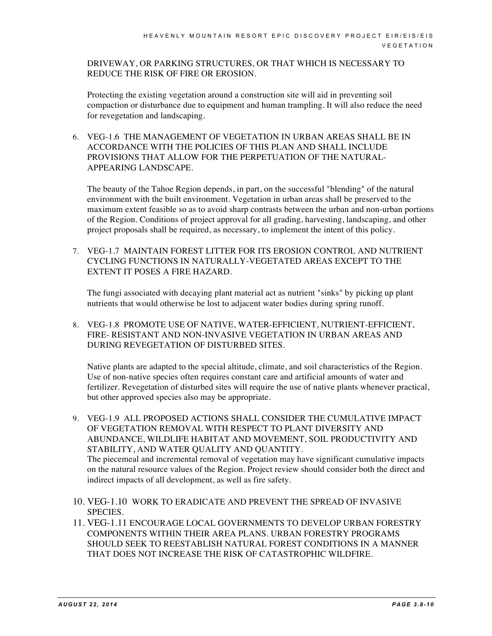DRIVEWAY, OR PARKING STRUCTURES, OR THAT WHICH IS NECESSARY TO REDUCE THE RISK OF FIRE OR EROSION.

Protecting the existing vegetation around a construction site will aid in preventing soil compaction or disturbance due to equipment and human trampling. It will also reduce the need for revegetation and landscaping.

6. VEG-1.6 THE MANAGEMENT OF VEGETATION IN URBAN AREAS SHALL BE IN ACCORDANCE WITH THE POLICIES OF THIS PLAN AND SHALL INCLUDE PROVISIONS THAT ALLOW FOR THE PERPETUATION OF THE NATURAL-APPEARING LANDSCAPE.

The beauty of the Tahoe Region depends, in part, on the successful "blending" of the natural environment with the built environment. Vegetation in urban areas shall be preserved to the maximum extent feasible so as to avoid sharp contrasts between the urban and non-urban portions of the Region. Conditions of project approval for all grading, harvesting, landscaping, and other project proposals shall be required, as necessary, to implement the intent of this policy.

7. VEG-1.7 MAINTAIN FOREST LITTER FOR ITS EROSION CONTROL AND NUTRIENT CYCLING FUNCTIONS IN NATURALLY-VEGETATED AREAS EXCEPT TO THE EXTENT IT POSES A FIRE HAZARD.

The fungi associated with decaying plant material act as nutrient "sinks" by picking up plant nutrients that would otherwise be lost to adjacent water bodies during spring runoff.

8. VEG-1.8 PROMOTE USE OF NATIVE, WATER-EFFICIENT, NUTRIENT-EFFICIENT, FIRE- RESISTANT AND NON-INVASIVE VEGETATION IN URBAN AREAS AND DURING REVEGETATION OF DISTURBED SITES.

Native plants are adapted to the special altitude, climate, and soil characteristics of the Region. Use of non-native species often requires constant care and artificial amounts of water and fertilizer. Revegetation of disturbed sites will require the use of native plants whenever practical, but other approved species also may be appropriate.

- 9. VEG-1.9 ALL PROPOSED ACTIONS SHALL CONSIDER THE CUMULATIVE IMPACT OF VEGETATION REMOVAL WITH RESPECT TO PLANT DIVERSITY AND ABUNDANCE, WILDLIFE HABITAT AND MOVEMENT, SOIL PRODUCTIVITY AND STABILITY, AND WATER QUALITY AND QUANTITY. The piecemeal and incremental removal of vegetation may have significant cumulative impacts on the natural resource values of the Region. Project review should consider both the direct and indirect impacts of all development, as well as fire safety.
- 10. VEG-1.10 WORK TO ERADICATE AND PREVENT THE SPREAD OF INVASIVE SPECIES.
- 11. VEG-1.11 ENCOURAGE LOCAL GOVERNMENTS TO DEVELOP URBAN FORESTRY COMPONENTS WITHIN THEIR AREA PLANS. URBAN FORESTRY PROGRAMS SHOULD SEEK TO REESTABLISH NATURAL FOREST CONDITIONS IN A MANNER THAT DOES NOT INCREASE THE RISK OF CATASTROPHIC WILDFIRE.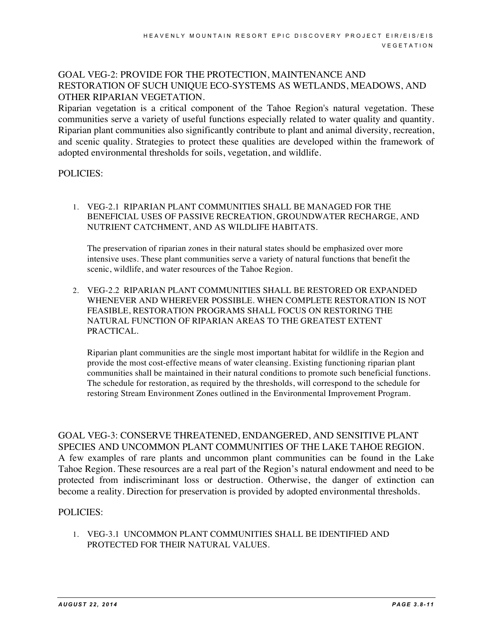#### GOAL VEG-2: PROVIDE FOR THE PROTECTION, MAINTENANCE AND RESTORATION OF SUCH UNIQUE ECO-SYSTEMS AS WETLANDS, MEADOWS, AND OTHER RIPARIAN VEGETATION.

Riparian vegetation is a critical component of the Tahoe Region's natural vegetation. These communities serve a variety of useful functions especially related to water quality and quantity. Riparian plant communities also significantly contribute to plant and animal diversity, recreation, and scenic quality. Strategies to protect these qualities are developed within the framework of adopted environmental thresholds for soils, vegetation, and wildlife.

#### POLICIES:

1. VEG-2.1 RIPARIAN PLANT COMMUNITIES SHALL BE MANAGED FOR THE BENEFICIAL USES OF PASSIVE RECREATION, GROUNDWATER RECHARGE, AND NUTRIENT CATCHMENT, AND AS WILDLIFE HABITATS.

The preservation of riparian zones in their natural states should be emphasized over more intensive uses. These plant communities serve a variety of natural functions that benefit the scenic, wildlife, and water resources of the Tahoe Region.

2. VEG-2.2 RIPARIAN PLANT COMMUNITIES SHALL BE RESTORED OR EXPANDED WHENEVER AND WHEREVER POSSIBLE. WHEN COMPLETE RESTORATION IS NOT FEASIBLE, RESTORATION PROGRAMS SHALL FOCUS ON RESTORING THE NATURAL FUNCTION OF RIPARIAN AREAS TO THE GREATEST EXTENT PRACTICAL.

Riparian plant communities are the single most important habitat for wildlife in the Region and provide the most cost-effective means of water cleansing. Existing functioning riparian plant communities shall be maintained in their natural conditions to promote such beneficial functions. The schedule for restoration, as required by the thresholds, will correspond to the schedule for restoring Stream Environment Zones outlined in the Environmental Improvement Program.

GOAL VEG-3: CONSERVE THREATENED, ENDANGERED, AND SENSITIVE PLANT SPECIES AND UNCOMMON PLANT COMMUNITIES OF THE LAKE TAHOE REGION. A few examples of rare plants and uncommon plant communities can be found in the Lake Tahoe Region. These resources are a real part of the Region's natural endowment and need to be protected from indiscriminant loss or destruction. Otherwise, the danger of extinction can become a reality. Direction for preservation is provided by adopted environmental thresholds.

#### POLICIES:

1. VEG-3.1 UNCOMMON PLANT COMMUNITIES SHALL BE IDENTIFIED AND PROTECTED FOR THEIR NATURAL VALUES.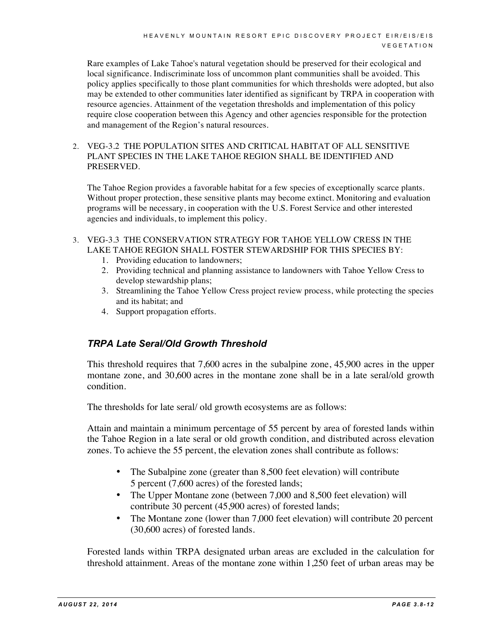Rare examples of Lake Tahoe's natural vegetation should be preserved for their ecological and local significance. Indiscriminate loss of uncommon plant communities shall be avoided. This policy applies specifically to those plant communities for which thresholds were adopted, but also may be extended to other communities later identified as significant by TRPA in cooperation with resource agencies. Attainment of the vegetation thresholds and implementation of this policy require close cooperation between this Agency and other agencies responsible for the protection and management of the Region's natural resources.

2. VEG-3.2 THE POPULATION SITES AND CRITICAL HABITAT OF ALL SENSITIVE PLANT SPECIES IN THE LAKE TAHOE REGION SHALL BE IDENTIFIED AND PRESERVED.

The Tahoe Region provides a favorable habitat for a few species of exceptionally scarce plants. Without proper protection, these sensitive plants may become extinct. Monitoring and evaluation programs will be necessary, in cooperation with the U.S. Forest Service and other interested agencies and individuals, to implement this policy.

- 3. VEG-3.3 THE CONSERVATION STRATEGY FOR TAHOE YELLOW CRESS IN THE LAKE TAHOE REGION SHALL FOSTER STEWARDSHIP FOR THIS SPECIES BY:
	- 1. Providing education to landowners;
	- 2. Providing technical and planning assistance to landowners with Tahoe Yellow Cress to develop stewardship plans;
	- 3. Streamlining the Tahoe Yellow Cress project review process, while protecting the species and its habitat; and
	- 4. Support propagation efforts.

#### *TRPA Late Seral/Old Growth Threshold*

This threshold requires that 7,600 acres in the subalpine zone, 45,900 acres in the upper montane zone, and 30,600 acres in the montane zone shall be in a late seral/old growth condition.

The thresholds for late seral/ old growth ecosystems are as follows:

Attain and maintain a minimum percentage of 55 percent by area of forested lands within the Tahoe Region in a late seral or old growth condition, and distributed across elevation zones. To achieve the 55 percent, the elevation zones shall contribute as follows:

- The Subalpine zone (greater than 8,500 feet elevation) will contribute 5 percent (7,600 acres) of the forested lands;
- The Upper Montane zone (between 7,000 and 8,500 feet elevation) will contribute 30 percent (45,900 acres) of forested lands;
- The Montane zone (lower than 7,000 feet elevation) will contribute 20 percent (30,600 acres) of forested lands.

Forested lands within TRPA designated urban areas are excluded in the calculation for threshold attainment. Areas of the montane zone within 1,250 feet of urban areas may be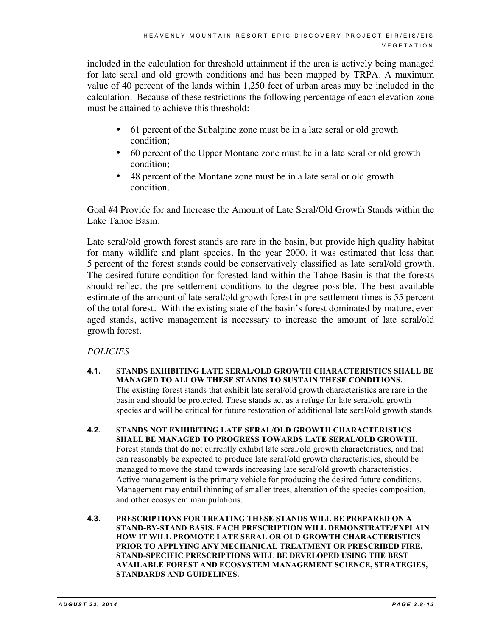included in the calculation for threshold attainment if the area is actively being managed for late seral and old growth conditions and has been mapped by TRPA. A maximum value of 40 percent of the lands within 1,250 feet of urban areas may be included in the calculation. Because of these restrictions the following percentage of each elevation zone must be attained to achieve this threshold:

- 61 percent of the Subalpine zone must be in a late seral or old growth condition;
- 60 percent of the Upper Montane zone must be in a late seral or old growth condition;
- 48 percent of the Montane zone must be in a late seral or old growth condition.

Goal #4 Provide for and Increase the Amount of Late Seral/Old Growth Stands within the Lake Tahoe Basin.

Late seral/old growth forest stands are rare in the basin, but provide high quality habitat for many wildlife and plant species. In the year 2000, it was estimated that less than 5 percent of the forest stands could be conservatively classified as late seral/old growth. The desired future condition for forested land within the Tahoe Basin is that the forests should reflect the pre-settlement conditions to the degree possible. The best available estimate of the amount of late seral/old growth forest in pre-settlement times is 55 percent of the total forest. With the existing state of the basin's forest dominated by mature, even aged stands, active management is necessary to increase the amount of late seral/old growth forest.

#### *POLICIES*

- **4.1. STANDS EXHIBITING LATE SERAL/OLD GROWTH CHARACTERISTICS SHALL BE MANAGED TO ALLOW THESE STANDS TO SUSTAIN THESE CONDITIONS.** The existing forest stands that exhibit late seral/old growth characteristics are rare in the basin and should be protected. These stands act as a refuge for late seral/old growth species and will be critical for future restoration of additional late seral/old growth stands.
- **4.2. STANDS NOT EXHIBITING LATE SERAL/OLD GROWTH CHARACTERISTICS SHALL BE MANAGED TO PROGRESS TOWARDS LATE SERAL/OLD GROWTH.** Forest stands that do not currently exhibit late seral/old growth characteristics, and that can reasonably be expected to produce late seral/old growth characteristics, should be managed to move the stand towards increasing late seral/old growth characteristics. Active management is the primary vehicle for producing the desired future conditions. Management may entail thinning of smaller trees, alteration of the species composition, and other ecosystem manipulations.
- **4.3. PRESCRIPTIONS FOR TREATING THESE STANDS WILL BE PREPARED ON A STAND-BY-STAND BASIS. EACH PRESCRIPTION WILL DEMONSTRATE/EXPLAIN HOW IT WILL PROMOTE LATE SERAL OR OLD GROWTH CHARACTERISTICS PRIOR TO APPLYING ANY MECHANICAL TREATMENT OR PRESCRIBED FIRE. STAND-SPECIFIC PRESCRIPTIONS WILL BE DEVELOPED USING THE BEST AVAILABLE FOREST AND ECOSYSTEM MANAGEMENT SCIENCE, STRATEGIES, STANDARDS AND GUIDELINES.**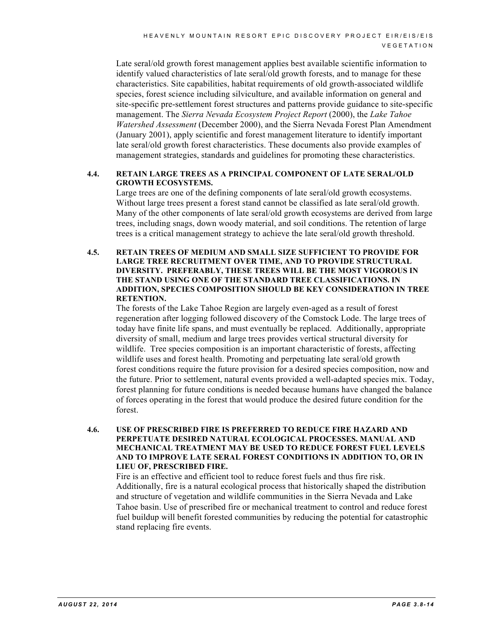Late seral/old growth forest management applies best available scientific information to identify valued characteristics of late seral/old growth forests, and to manage for these characteristics. Site capabilities, habitat requirements of old growth-associated wildlife species, forest science including silviculture, and available information on general and site-specific pre-settlement forest structures and patterns provide guidance to site-specific management. The *Sierra Nevada Ecosystem Project Report* (2000), the *Lake Tahoe Watershed Assessment* (December 2000), and the Sierra Nevada Forest Plan Amendment (January 2001), apply scientific and forest management literature to identify important late seral/old growth forest characteristics. These documents also provide examples of management strategies, standards and guidelines for promoting these characteristics.

#### **4.4. RETAIN LARGE TREES AS A PRINCIPAL COMPONENT OF LATE SERAL/OLD GROWTH ECOSYSTEMS.**

Large trees are one of the defining components of late seral/old growth ecosystems. Without large trees present a forest stand cannot be classified as late seral/old growth. Many of the other components of late seral/old growth ecosystems are derived from large trees, including snags, down woody material, and soil conditions. The retention of large trees is a critical management strategy to achieve the late seral/old growth threshold.

#### **4.5. RETAIN TREES OF MEDIUM AND SMALL SIZE SUFFICIENT TO PROVIDE FOR LARGE TREE RECRUITMENT OVER TIME, AND TO PROVIDE STRUCTURAL DIVERSITY. PREFERABLY, THESE TREES WILL BE THE MOST VIGOROUS IN THE STAND USING ONE OF THE STANDARD TREE CLASSIFICATIONS. IN ADDITION, SPECIES COMPOSITION SHOULD BE KEY CONSIDERATION IN TREE RETENTION.**

The forests of the Lake Tahoe Region are largely even-aged as a result of forest regeneration after logging followed discovery of the Comstock Lode. The large trees of today have finite life spans, and must eventually be replaced. Additionally, appropriate diversity of small, medium and large trees provides vertical structural diversity for wildlife. Tree species composition is an important characteristic of forests, affecting wildlife uses and forest health. Promoting and perpetuating late seral/old growth forest conditions require the future provision for a desired species composition, now and the future. Prior to settlement, natural events provided a well-adapted species mix. Today, forest planning for future conditions is needed because humans have changed the balance of forces operating in the forest that would produce the desired future condition for the forest.

#### **4.6. USE OF PRESCRIBED FIRE IS PREFERRED TO REDUCE FIRE HAZARD AND PERPETUATE DESIRED NATURAL ECOLOGICAL PROCESSES. MANUAL AND MECHANICAL TREATMENT MAY BE USED TO REDUCE FOREST FUEL LEVELS AND TO IMPROVE LATE SERAL FOREST CONDITIONS IN ADDITION TO, OR IN LIEU OF, PRESCRIBED FIRE.**

Fire is an effective and efficient tool to reduce forest fuels and thus fire risk. Additionally, fire is a natural ecological process that historically shaped the distribution and structure of vegetation and wildlife communities in the Sierra Nevada and Lake Tahoe basin. Use of prescribed fire or mechanical treatment to control and reduce forest fuel buildup will benefit forested communities by reducing the potential for catastrophic stand replacing fire events.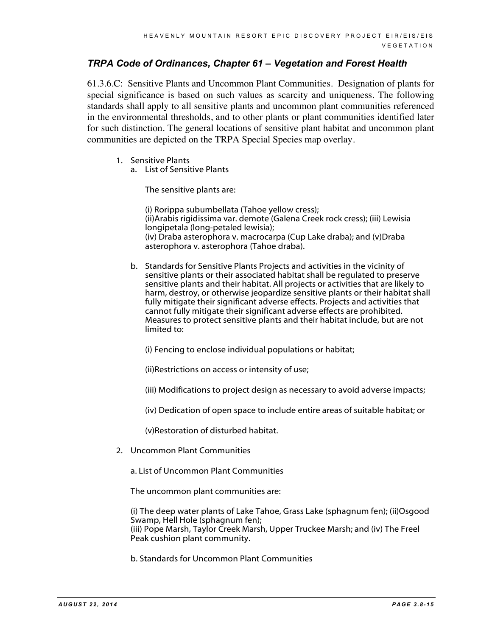#### *TRPA Code of Ordinances, Chapter 61 – Vegetation and Forest Health*

61.3.6.C: Sensitive Plants and Uncommon Plant Communities. Designation of plants for special significance is based on such values as scarcity and uniqueness. The following standards shall apply to all sensitive plants and uncommon plant communities referenced in the environmental thresholds, and to other plants or plant communities identified later for such distinction. The general locations of sensitive plant habitat and uncommon plant communities are depicted on the TRPA Special Species map overlay.

- 1. Sensitive Plants
	- a. List of Sensitive Plants

The sensitive plants are:

(i) Rorippa subumbellata (Tahoe yellow cress); (ii)Arabis rigidissima var. demote (Galena Creek rock cress); (iii) Lewisia longipetala (long-petaled lewisia); (iv) Draba asterophora v. macrocarpa (Cup Lake draba); and (v)Draba asterophora v. asterophora (Tahoe draba).

b. Standards for Sensitive Plants Projects and activities in the vicinity of sensitive plants or their associated habitat shall be regulated to preserve sensitive plants and their habitat. All projects or activities that are likely to harm, destroy, or otherwise jeopardize sensitive plants or their habitat shall fully mitigate their significant adverse effects. Projects and activities that cannot fully mitigate their significant adverse effects are prohibited. Measures to protect sensitive plants and their habitat include, but are not limited to:

(i) Fencing to enclose individual populations or habitat;

(ii)Restrictions on access or intensity of use;

- (iii) Modifications to project design as necessary to avoid adverse impacts;
- (iv) Dedication of open space to include entire areas of suitable habitat; or

(v)Restoration of disturbed habitat.

2. Uncommon Plant Communities

a. List of Uncommon Plant Communities

The uncommon plant communities are:

(i) The deep water plants of Lake Tahoe, Grass Lake (sphagnum fen); (ii)Osgood Swamp, Hell Hole (sphagnum fen); (iii) Pope Marsh, Taylor Creek Marsh, Upper Truckee Marsh; and (iv) The Freel Peak cushion plant community.

b. Standards for Uncommon Plant Communities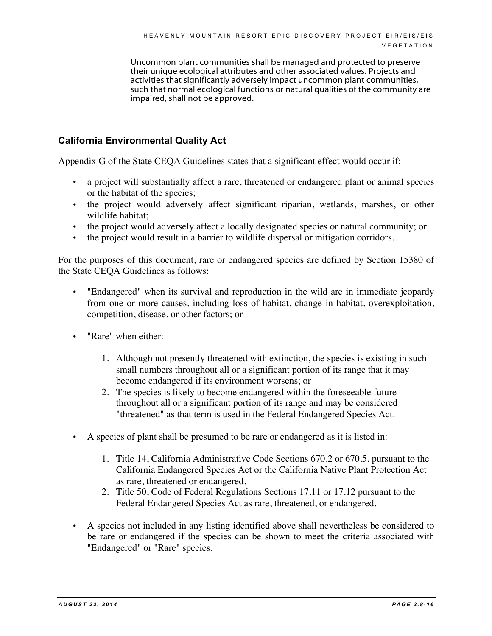Uncommon plant communities shall be managed and protected to preserve their unique ecological attributes and other associated values. Projects and activities that significantly adversely impact uncommon plant communities, such that normal ecological functions or natural qualities of the community are impaired, shall not be approved.

#### **California Environmental Quality Act**

Appendix G of the State CEQA Guidelines states that a significant effect would occur if:

- a project will substantially affect a rare, threatened or endangered plant or animal species or the habitat of the species;
- the project would adversely affect significant riparian, wetlands, marshes, or other wildlife habitat;
- the project would adversely affect a locally designated species or natural community; or
- the project would result in a barrier to wildlife dispersal or mitigation corridors.

For the purposes of this document, rare or endangered species are defined by Section 15380 of the State CEQA Guidelines as follows:

- "Endangered" when its survival and reproduction in the wild are in immediate jeopardy from one or more causes, including loss of habitat, change in habitat, overexploitation, competition, disease, or other factors; or
- "Rare" when either:
	- 1. Although not presently threatened with extinction, the species is existing in such small numbers throughout all or a significant portion of its range that it may become endangered if its environment worsens; or
	- 2. The species is likely to become endangered within the foreseeable future throughout all or a significant portion of its range and may be considered "threatened" as that term is used in the Federal Endangered Species Act.
- A species of plant shall be presumed to be rare or endangered as it is listed in:
	- 1. Title 14, California Administrative Code Sections 670.2 or 670.5, pursuant to the California Endangered Species Act or the California Native Plant Protection Act as rare, threatened or endangered.
	- 2. Title 50, Code of Federal Regulations Sections 17.11 or 17.12 pursuant to the Federal Endangered Species Act as rare, threatened, or endangered.
- A species not included in any listing identified above shall nevertheless be considered to be rare or endangered if the species can be shown to meet the criteria associated with "Endangered" or "Rare" species.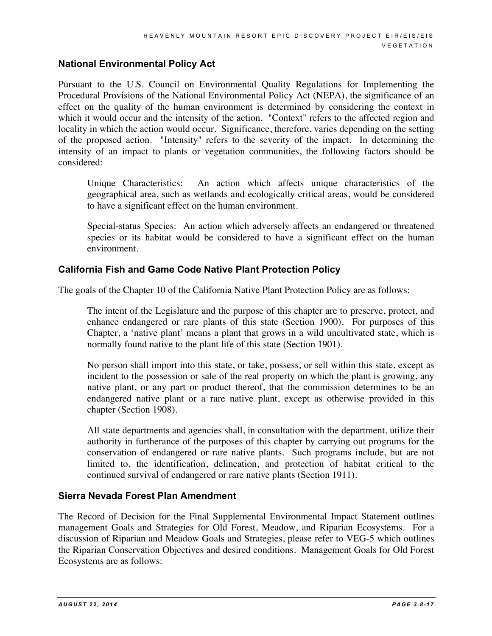#### **National Environmental Policy Act**

Pursuant to the U.S. Council on Environmental Quality Regulations for Implementing the Procedural Provisions of the National Environmental Policy Act (NEPA), the significance of an effect on the quality of the human environment is determined by considering the context in which it would occur and the intensity of the action. "Context" refers to the affected region and locality in which the action would occur. Significance, therefore, varies depending on the setting of the proposed action. "Intensity" refers to the severity of the impact. In determining the intensity of an impact to plants or vegetation communities, the following factors should be considered:

Unique Characteristics: An action which affects unique characteristics of the geographical area, such as wetlands and ecologically critical areas, would be considered to have a significant effect on the human environment.

Special-status Species: An action which adversely affects an endangered or threatened species or its habitat would be considered to have a significant effect on the human environment.

#### **California Fish and Game Code Native Plant Protection Policy**

The goals of the Chapter 10 of the California Native Plant Protection Policy are as follows:

The intent of the Legislature and the purpose of this chapter are to preserve, protect, and enhance endangered or rare plants of this state (Section 1900). For purposes of this Chapter, a 'native plant' means a plant that grows in a wild uncultivated state, which is normally found native to the plant life of this state (Section 1901).

No person shall import into this state, or take, possess, or sell within this state, except as incident to the possession or sale of the real property on which the plant is growing, any native plant, or any part or product thereof, that the commission determines to be an endangered native plant or a rare native plant, except as otherwise provided in this chapter (Section 1908).

All state departments and agencies shall, in consultation with the department, utilize their authority in furtherance of the purposes of this chapter by carrying out programs for the conservation of endangered or rare native plants. Such programs include, but are not limited to, the identification, delineation, and protection of habitat critical to the continued survival of endangered or rare native plants (Section 1911).

#### **Sierra Nevada Forest Plan Amendment**

The Record of Decision for the Final Supplemental Environmental Impact Statement outlines management Goals and Strategies for Old Forest, Meadow, and Riparian Ecosystems. For a discussion of Riparian and Meadow Goals and Strategies, please refer to VEG-5 which outlines the Riparian Conservation Objectives and desired conditions. Management Goals for Old Forest Ecosystems are as follows: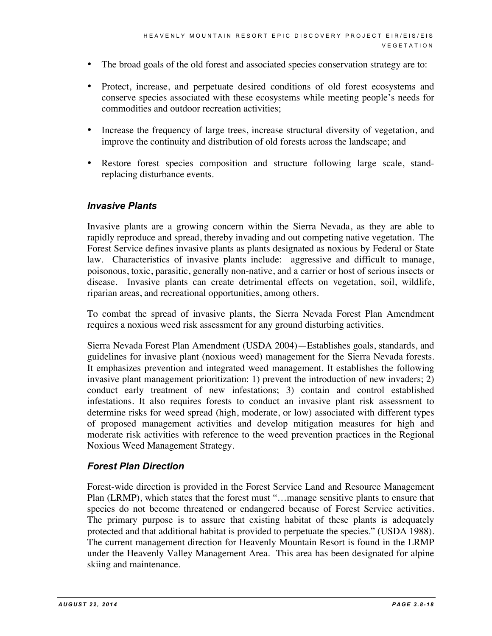- The broad goals of the old forest and associated species conservation strategy are to:
- Protect, increase, and perpetuate desired conditions of old forest ecosystems and conserve species associated with these ecosystems while meeting people's needs for commodities and outdoor recreation activities;
- Increase the frequency of large trees, increase structural diversity of vegetation, and improve the continuity and distribution of old forests across the landscape; and
- Restore forest species composition and structure following large scale, standreplacing disturbance events.

#### *Invasive Plants*

Invasive plants are a growing concern within the Sierra Nevada, as they are able to rapidly reproduce and spread, thereby invading and out competing native vegetation. The Forest Service defines invasive plants as plants designated as noxious by Federal or State law. Characteristics of invasive plants include: aggressive and difficult to manage, poisonous, toxic, parasitic, generally non-native, and a carrier or host of serious insects or disease. Invasive plants can create detrimental effects on vegetation, soil, wildlife, riparian areas, and recreational opportunities, among others.

To combat the spread of invasive plants, the Sierra Nevada Forest Plan Amendment requires a noxious weed risk assessment for any ground disturbing activities.

Sierra Nevada Forest Plan Amendment (USDA 2004)—Establishes goals, standards, and guidelines for invasive plant (noxious weed) management for the Sierra Nevada forests. It emphasizes prevention and integrated weed management. It establishes the following invasive plant management prioritization: 1) prevent the introduction of new invaders; 2) conduct early treatment of new infestations; 3) contain and control established infestations. It also requires forests to conduct an invasive plant risk assessment to determine risks for weed spread (high, moderate, or low) associated with different types of proposed management activities and develop mitigation measures for high and moderate risk activities with reference to the weed prevention practices in the Regional Noxious Weed Management Strategy.

#### *Forest Plan Direction*

Forest-wide direction is provided in the Forest Service Land and Resource Management Plan (LRMP), which states that the forest must "…manage sensitive plants to ensure that species do not become threatened or endangered because of Forest Service activities. The primary purpose is to assure that existing habitat of these plants is adequately protected and that additional habitat is provided to perpetuate the species." (USDA 1988). The current management direction for Heavenly Mountain Resort is found in the LRMP under the Heavenly Valley Management Area. This area has been designated for alpine skiing and maintenance.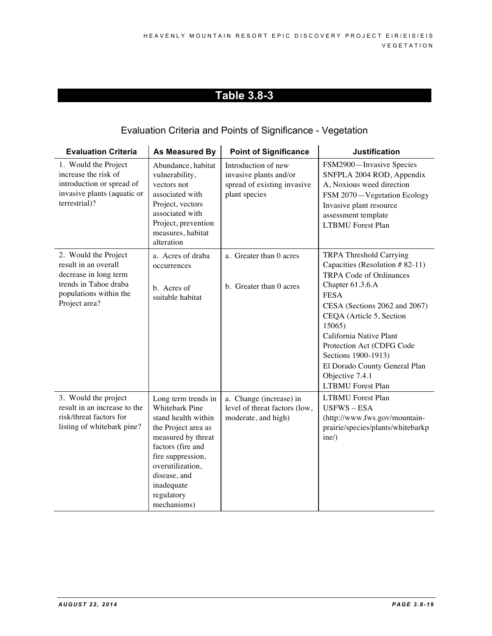## Evaluation Criteria and Points of Significance - Vegetation

| <b>Evaluation Criteria</b>                                                                                                                | As Measured By                                                                                                                                                                                                                            | <b>Point of Significance</b>                                                                  | <b>Justification</b>                                                                                                                                                                                                                                                                                                                                                        |
|-------------------------------------------------------------------------------------------------------------------------------------------|-------------------------------------------------------------------------------------------------------------------------------------------------------------------------------------------------------------------------------------------|-----------------------------------------------------------------------------------------------|-----------------------------------------------------------------------------------------------------------------------------------------------------------------------------------------------------------------------------------------------------------------------------------------------------------------------------------------------------------------------------|
| 1. Would the Project<br>increase the risk of<br>introduction or spread of<br>invasive plants (aquatic or<br>terrestrial)?                 | Abundance, habitat<br>vulnerability,<br>vectors not<br>associated with<br>Project, vectors<br>associated with<br>Project, prevention<br>measures, habitat<br>alteration                                                                   | Introduction of new<br>invasive plants and/or<br>spread of existing invasive<br>plant species | FSM2900-Invasive Species<br>SNFPLA 2004 ROD, Appendix<br>A, Noxious weed direction<br>FSM 2070-Vegetation Ecology<br>Invasive plant resource<br>assessment template<br><b>LTBMU</b> Forest Plan                                                                                                                                                                             |
| 2. Would the Project<br>result in an overall<br>decrease in long term<br>trends in Tahoe draba<br>populations within the<br>Project area? | a. Acres of draba<br>occurrences<br>b. Acres of<br>suitable habitat                                                                                                                                                                       | a. Greater than 0 acres<br>b. Greater than 0 acres                                            | <b>TRPA Threshold Carrying</b><br>Capacities (Resolution #82-11)<br><b>TRPA Code of Ordinances</b><br>Chapter 61.3.6.A<br><b>FESA</b><br>CESA (Sections 2062 and 2067)<br>CEQA (Article 5, Section<br>15065)<br>California Native Plant<br>Protection Act (CDFG Code<br>Sections 1900-1913)<br>El Dorado County General Plan<br>Objective 7.4.1<br><b>LTBMU</b> Forest Plan |
| 3. Would the project<br>result in an increase to the<br>risk/threat factors for<br>listing of whitebark pine?                             | Long term trends in<br><b>Whitebark Pine</b><br>stand health within<br>the Project area as<br>measured by threat<br>factors (fire and<br>fire suppression,<br>overutilization,<br>disease, and<br>inadequate<br>regulatory<br>mechanisms) | a. Change (increase) in<br>level of threat factors (low,<br>moderate, and high)               | <b>LTBMU</b> Forest Plan<br>$USFWS - ESA$<br>(http://www.fws.gov/mountain-<br>prairie/species/plants/whitebarkp<br>$ine/$ )                                                                                                                                                                                                                                                 |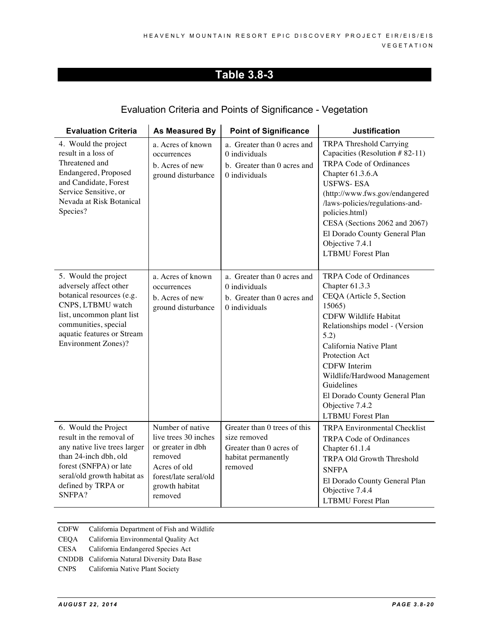#### Evaluation Criteria and Points of Significance - Vegetation

| <b>Evaluation Criteria</b>                                                                                                                                                                                        | As Measured By                                                                                                                                 | <b>Point of Significance</b>                                                                              | <b>Justification</b>                                                                                                                                                                                                                                                                                                                                        |
|-------------------------------------------------------------------------------------------------------------------------------------------------------------------------------------------------------------------|------------------------------------------------------------------------------------------------------------------------------------------------|-----------------------------------------------------------------------------------------------------------|-------------------------------------------------------------------------------------------------------------------------------------------------------------------------------------------------------------------------------------------------------------------------------------------------------------------------------------------------------------|
| 4. Would the project<br>result in a loss of<br>Threatened and<br>Endangered, Proposed<br>and Candidate, Forest<br>Service Sensitive, or<br>Nevada at Risk Botanical<br>Species?                                   | a. Acres of known<br>occurrences<br>b. Acres of new<br>ground disturbance                                                                      | a. Greater than 0 acres and<br>0 individuals<br>b. Greater than 0 acres and<br>0 individuals              | TRPA Threshold Carrying<br>Capacities (Resolution #82-11)<br><b>TRPA Code of Ordinances</b><br>Chapter 61.3.6.A<br><b>USFWS-ESA</b><br>(http://www.fws.gov/endangered<br>/laws-policies/regulations-and-<br>policies.html)<br>CESA (Sections 2062 and 2067)<br>El Dorado County General Plan<br>Objective 7.4.1<br><b>LTBMU</b> Forest Plan                 |
| 5. Would the project<br>adversely affect other<br>botanical resources (e.g.<br>CNPS, LTBMU watch<br>list, uncommon plant list<br>communities, special<br>aquatic features or Stream<br><b>Environment Zones)?</b> | a. Acres of known<br>occurrences<br>b. Acres of new<br>ground disturbance                                                                      | a. Greater than 0 acres and<br>0 individuals<br>b. Greater than 0 acres and<br>0 individuals              | TRPA Code of Ordinances<br>Chapter 61.3.3<br>CEQA (Article 5, Section<br>15065)<br><b>CDFW Wildlife Habitat</b><br>Relationships model - (Version<br>5.2)<br>California Native Plant<br>Protection Act<br><b>CDFW</b> Interim<br>Wildlife/Hardwood Management<br>Guidelines<br>El Dorado County General Plan<br>Objective 7.4.2<br><b>LTBMU</b> Forest Plan |
| 6. Would the Project<br>result in the removal of<br>any native live trees larger<br>than 24-inch dbh, old<br>forest (SNFPA) or late<br>seral/old growth habitat as<br>defined by TRPA or<br>SNFPA?                | Number of native<br>live trees 30 inches<br>or greater in dbh<br>removed<br>Acres of old<br>forest/late seral/old<br>growth habitat<br>removed | Greater than 0 trees of this<br>size removed<br>Greater than 0 acres of<br>habitat permanently<br>removed | <b>TRPA Environmental Checklist</b><br>TRPA Code of Ordinances<br>Chapter 61.1.4<br><b>TRPA Old Growth Threshold</b><br><b>SNFPA</b><br>El Dorado County General Plan<br>Objective 7.4.4<br><b>LTBMU</b> Forest Plan                                                                                                                                        |

- CDFW California Department of Fish and Wildlife
- CEQA California Environmental Quality Act
- CESA California Endangered Species Act
- CNDDB California Natural Diversity Data Base
- CNPS California Native Plant Society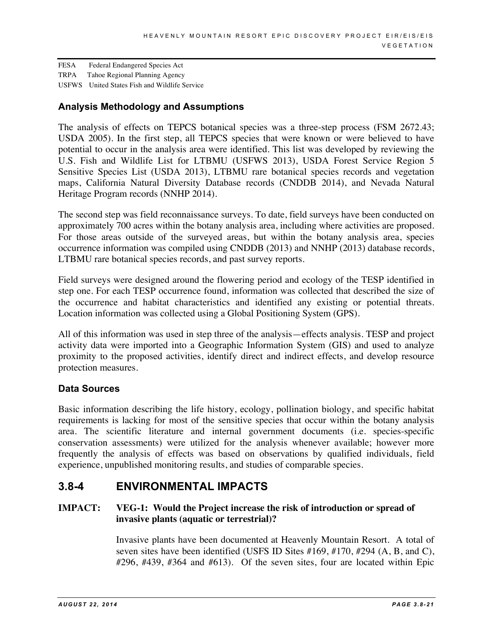FESA Federal Endangered Species Act TRPA Tahoe Regional Planning Agency USFWS United States Fish and Wildlife Service

#### **Analysis Methodology and Assumptions**

The analysis of effects on TEPCS botanical species was a three-step process (FSM 2672.43; USDA 2005). In the first step, all TEPCS species that were known or were believed to have potential to occur in the analysis area were identified. This list was developed by reviewing the U.S. Fish and Wildlife List for LTBMU (USFWS 2013), USDA Forest Service Region 5 Sensitive Species List (USDA 2013), LTBMU rare botanical species records and vegetation maps, California Natural Diversity Database records (CNDDB 2014), and Nevada Natural Heritage Program records (NNHP 2014).

The second step was field reconnaissance surveys. To date, field surveys have been conducted on approximately 700 acres within the botany analysis area, including where activities are proposed. For those areas outside of the surveyed areas, but within the botany analysis area, species occurrence information was compiled using CNDDB (2013) and NNHP (2013) database records, LTBMU rare botanical species records, and past survey reports.

Field surveys were designed around the flowering period and ecology of the TESP identified in step one. For each TESP occurrence found, information was collected that described the size of the occurrence and habitat characteristics and identified any existing or potential threats. Location information was collected using a Global Positioning System (GPS).

All of this information was used in step three of the analysis—effects analysis. TESP and project activity data were imported into a Geographic Information System (GIS) and used to analyze proximity to the proposed activities, identify direct and indirect effects, and develop resource protection measures.

#### **Data Sources**

Basic information describing the life history, ecology, pollination biology, and specific habitat requirements is lacking for most of the sensitive species that occur within the botany analysis area. The scientific literature and internal government documents (i.e. species-specific conservation assessments) were utilized for the analysis whenever available; however more frequently the analysis of effects was based on observations by qualified individuals, field experience, unpublished monitoring results, and studies of comparable species.

### **3.8-4 ENVIRONMENTAL IMPACTS**

#### **IMPACT: VEG-1: Would the Project increase the risk of introduction or spread of invasive plants (aquatic or terrestrial)?**

Invasive plants have been documented at Heavenly Mountain Resort. A total of seven sites have been identified (USFS ID Sites #169, #170, #294 (A, B, and C), #296, #439, #364 and #613). Of the seven sites, four are located within Epic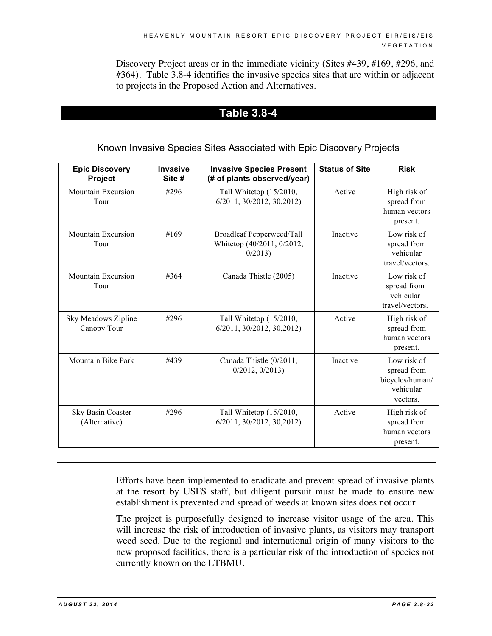Discovery Project areas or in the immediate vicinity (Sites #439, #169, #296, and #364). Table 3.8-4 identifies the invasive species sites that are within or adjacent to projects in the Proposed Action and Alternatives.

## **Table 3.8-4**

#### Known Invasive Species Sites Associated with Epic Discovery Projects

| <b>Epic Discovery</b><br>Project   | Invasive<br>Site # | <b>Invasive Species Present</b><br>(# of plants observed/year)    | <b>Status of Site</b> | <b>Risk</b>                                                            |
|------------------------------------|--------------------|-------------------------------------------------------------------|-----------------------|------------------------------------------------------------------------|
| <b>Mountain Excursion</b><br>Tour  | #296               | Tall Whitetop (15/2010,<br>$6/2011$ , $30/2012$ , $30,2012$ )     | Active                | High risk of<br>spread from<br>human vectors<br>present.               |
| <b>Mountain Excursion</b><br>Tour  | #169               | Broadleaf Pepperweed/Tall<br>Whitetop (40/2011, 0/2012,<br>0/2013 | Inactive              | Low risk of<br>spread from<br>vehicular<br>travel/vectors.             |
| <b>Mountain Excursion</b><br>Tour  | #364               | Canada Thistle (2005)                                             | Inactive              | Low risk of<br>spread from<br>vehicular<br>travel/vectors.             |
| Sky Meadows Zipline<br>Canopy Tour | #296               | Tall Whitetop (15/2010,<br>$6/2011$ , $30/2012$ , $30,2012$ )     | Active                | High risk of<br>spread from<br>human vectors<br>present.               |
| Mountain Bike Park                 | #439               | Canada Thistle (0/2011,<br>0/2012, 0/2013                         | Inactive              | Low risk of<br>spread from<br>bicycles/human/<br>vehicular<br>vectors. |
| Sky Basin Coaster<br>(Alternative) | #296               | Tall Whitetop (15/2010,<br>$6/2011$ , $30/2012$ , $30,2012$ )     | Active                | High risk of<br>spread from<br>human vectors<br>present.               |

Efforts have been implemented to eradicate and prevent spread of invasive plants at the resort by USFS staff, but diligent pursuit must be made to ensure new establishment is prevented and spread of weeds at known sites does not occur.

The project is purposefully designed to increase visitor usage of the area. This will increase the risk of introduction of invasive plants, as visitors may transport weed seed. Due to the regional and international origin of many visitors to the new proposed facilities, there is a particular risk of the introduction of species not currently known on the LTBMU.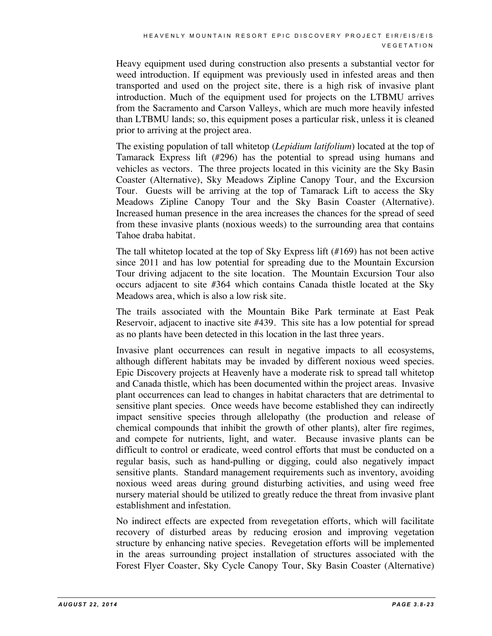Heavy equipment used during construction also presents a substantial vector for weed introduction. If equipment was previously used in infested areas and then transported and used on the project site, there is a high risk of invasive plant introduction. Much of the equipment used for projects on the LTBMU arrives from the Sacramento and Carson Valleys, which are much more heavily infested than LTBMU lands; so, this equipment poses a particular risk, unless it is cleaned prior to arriving at the project area.

The existing population of tall whitetop (*Lepidium latifolium*) located at the top of Tamarack Express lift (#296) has the potential to spread using humans and vehicles as vectors. The three projects located in this vicinity are the Sky Basin Coaster (Alternative), Sky Meadows Zipline Canopy Tour, and the Excursion Tour. Guests will be arriving at the top of Tamarack Lift to access the Sky Meadows Zipline Canopy Tour and the Sky Basin Coaster (Alternative). Increased human presence in the area increases the chances for the spread of seed from these invasive plants (noxious weeds) to the surrounding area that contains Tahoe draba habitat.

The tall whitetop located at the top of Sky Express lift (#169) has not been active since 2011 and has low potential for spreading due to the Mountain Excursion Tour driving adjacent to the site location. The Mountain Excursion Tour also occurs adjacent to site #364 which contains Canada thistle located at the Sky Meadows area, which is also a low risk site.

The trails associated with the Mountain Bike Park terminate at East Peak Reservoir, adjacent to inactive site #439. This site has a low potential for spread as no plants have been detected in this location in the last three years.

Invasive plant occurrences can result in negative impacts to all ecosystems, although different habitats may be invaded by different noxious weed species. Epic Discovery projects at Heavenly have a moderate risk to spread tall whitetop and Canada thistle, which has been documented within the project areas. Invasive plant occurrences can lead to changes in habitat characters that are detrimental to sensitive plant species. Once weeds have become established they can indirectly impact sensitive species through allelopathy (the production and release of chemical compounds that inhibit the growth of other plants), alter fire regimes, and compete for nutrients, light, and water. Because invasive plants can be difficult to control or eradicate, weed control efforts that must be conducted on a regular basis, such as hand-pulling or digging, could also negatively impact sensitive plants. Standard management requirements such as inventory, avoiding noxious weed areas during ground disturbing activities, and using weed free nursery material should be utilized to greatly reduce the threat from invasive plant establishment and infestation.

No indirect effects are expected from revegetation efforts, which will facilitate recovery of disturbed areas by reducing erosion and improving vegetation structure by enhancing native species. Revegetation efforts will be implemented in the areas surrounding project installation of structures associated with the Forest Flyer Coaster, Sky Cycle Canopy Tour, Sky Basin Coaster (Alternative)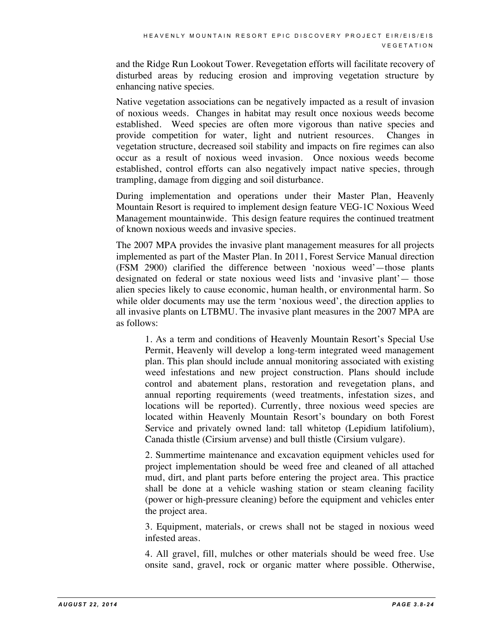and the Ridge Run Lookout Tower. Revegetation efforts will facilitate recovery of disturbed areas by reducing erosion and improving vegetation structure by enhancing native species.

Native vegetation associations can be negatively impacted as a result of invasion of noxious weeds. Changes in habitat may result once noxious weeds become established. Weed species are often more vigorous than native species and provide competition for water, light and nutrient resources. Changes in vegetation structure, decreased soil stability and impacts on fire regimes can also occur as a result of noxious weed invasion. Once noxious weeds become established, control efforts can also negatively impact native species, through trampling, damage from digging and soil disturbance.

During implementation and operations under their Master Plan, Heavenly Mountain Resort is required to implement design feature VEG-1C Noxious Weed Management mountainwide. This design feature requires the continued treatment of known noxious weeds and invasive species.

The 2007 MPA provides the invasive plant management measures for all projects implemented as part of the Master Plan. In 2011, Forest Service Manual direction (FSM 2900) clarified the difference between 'noxious weed'—those plants designated on federal or state noxious weed lists and 'invasive plant'— those alien species likely to cause economic, human health, or environmental harm. So while older documents may use the term 'noxious weed', the direction applies to all invasive plants on LTBMU. The invasive plant measures in the 2007 MPA are as follows:

1. As a term and conditions of Heavenly Mountain Resort's Special Use Permit, Heavenly will develop a long-term integrated weed management plan. This plan should include annual monitoring associated with existing weed infestations and new project construction. Plans should include control and abatement plans, restoration and revegetation plans, and annual reporting requirements (weed treatments, infestation sizes, and locations will be reported). Currently, three noxious weed species are located within Heavenly Mountain Resort's boundary on both Forest Service and privately owned land: tall whitetop (Lepidium latifolium), Canada thistle (Cirsium arvense) and bull thistle (Cirsium vulgare).

2. Summertime maintenance and excavation equipment vehicles used for project implementation should be weed free and cleaned of all attached mud, dirt, and plant parts before entering the project area. This practice shall be done at a vehicle washing station or steam cleaning facility (power or high-pressure cleaning) before the equipment and vehicles enter the project area.

3. Equipment, materials, or crews shall not be staged in noxious weed infested areas.

4. All gravel, fill, mulches or other materials should be weed free. Use onsite sand, gravel, rock or organic matter where possible. Otherwise,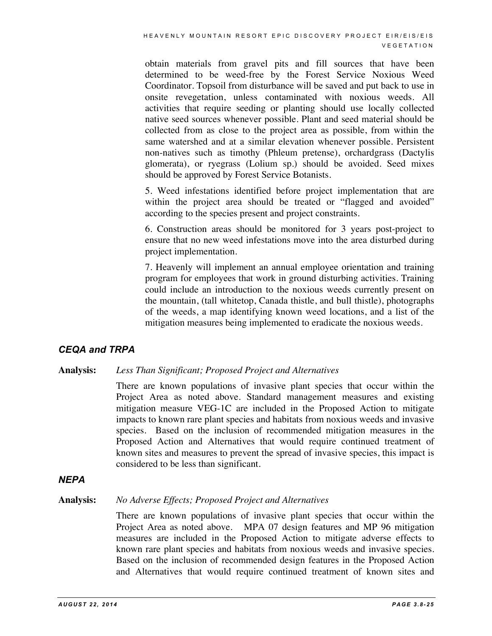obtain materials from gravel pits and fill sources that have been determined to be weed-free by the Forest Service Noxious Weed Coordinator. Topsoil from disturbance will be saved and put back to use in onsite revegetation, unless contaminated with noxious weeds. All activities that require seeding or planting should use locally collected native seed sources whenever possible. Plant and seed material should be collected from as close to the project area as possible, from within the same watershed and at a similar elevation whenever possible. Persistent non-natives such as timothy (Phleum pretense), orchardgrass (Dactylis glomerata), or ryegrass (Lolium sp.) should be avoided. Seed mixes should be approved by Forest Service Botanists.

5. Weed infestations identified before project implementation that are within the project area should be treated or "flagged and avoided" according to the species present and project constraints.

6. Construction areas should be monitored for 3 years post-project to ensure that no new weed infestations move into the area disturbed during project implementation.

7. Heavenly will implement an annual employee orientation and training program for employees that work in ground disturbing activities. Training could include an introduction to the noxious weeds currently present on the mountain, (tall whitetop, Canada thistle, and bull thistle), photographs of the weeds, a map identifying known weed locations, and a list of the mitigation measures being implemented to eradicate the noxious weeds.

#### *CEQA and TRPA*

**Analysis:** *Less Than Significant; Proposed Project and Alternatives*

There are known populations of invasive plant species that occur within the Project Area as noted above. Standard management measures and existing mitigation measure VEG-1C are included in the Proposed Action to mitigate impacts to known rare plant species and habitats from noxious weeds and invasive species. Based on the inclusion of recommended mitigation measures in the Proposed Action and Alternatives that would require continued treatment of known sites and measures to prevent the spread of invasive species, this impact is considered to be less than significant.

#### *NEPA*

#### **Analysis:** *No Adverse Effects; Proposed Project and Alternatives*

There are known populations of invasive plant species that occur within the Project Area as noted above. MPA 07 design features and MP 96 mitigation measures are included in the Proposed Action to mitigate adverse effects to known rare plant species and habitats from noxious weeds and invasive species. Based on the inclusion of recommended design features in the Proposed Action and Alternatives that would require continued treatment of known sites and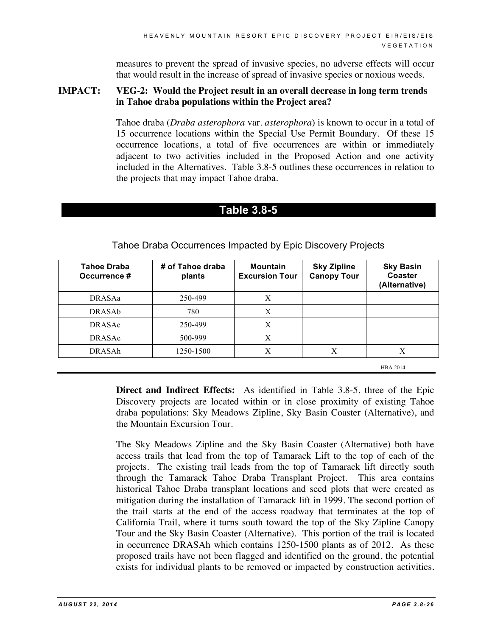measures to prevent the spread of invasive species, no adverse effects will occur that would result in the increase of spread of invasive species or noxious weeds.

#### **IMPACT: VEG-2: Would the Project result in an overall decrease in long term trends in Tahoe draba populations within the Project area?**

Tahoe draba (*Draba asterophora* var. *asterophora*) is known to occur in a total of 15 occurrence locations within the Special Use Permit Boundary. Of these 15 occurrence locations, a total of five occurrences are within or immediately adjacent to two activities included in the Proposed Action and one activity included in the Alternatives. Table 3.8-5 outlines these occurrences in relation to the projects that may impact Tahoe draba.

#### **Table 3.8-5**

| <b>Tahoe Draba</b><br>Occurrence # | # of Tahoe draba<br>plants | <b>Mountain</b><br><b>Excursion Tour</b> | <b>Sky Zipline</b><br><b>Canopy Tour</b> | <b>Sky Basin</b><br>Coaster<br>(Alternative) |
|------------------------------------|----------------------------|------------------------------------------|------------------------------------------|----------------------------------------------|
| <b>DRASAa</b>                      | 250-499                    | X                                        |                                          |                                              |
| <b>DRASAb</b>                      | 780                        | X                                        |                                          |                                              |
| <b>DRASAc</b>                      | 250-499                    | X                                        |                                          |                                              |
| <b>DRASAe</b>                      | 500-999                    | Χ                                        |                                          |                                              |
| DRASAh                             | 1250-1500                  | X                                        | Х                                        | X                                            |
|                                    |                            |                                          |                                          | <b>HBA 2014</b>                              |

Tahoe Draba Occurrences Impacted by Epic Discovery Projects

**Direct and Indirect Effects:** As identified in Table 3.8-5, three of the Epic Discovery projects are located within or in close proximity of existing Tahoe draba populations: Sky Meadows Zipline, Sky Basin Coaster (Alternative), and the Mountain Excursion Tour.

The Sky Meadows Zipline and the Sky Basin Coaster (Alternative) both have access trails that lead from the top of Tamarack Lift to the top of each of the projects. The existing trail leads from the top of Tamarack lift directly south through the Tamarack Tahoe Draba Transplant Project. This area contains historical Tahoe Draba transplant locations and seed plots that were created as mitigation during the installation of Tamarack lift in 1999. The second portion of the trail starts at the end of the access roadway that terminates at the top of California Trail, where it turns south toward the top of the Sky Zipline Canopy Tour and the Sky Basin Coaster (Alternative). This portion of the trail is located in occurrence DRASAh which contains 1250-1500 plants as of 2012. As these proposed trails have not been flagged and identified on the ground, the potential exists for individual plants to be removed or impacted by construction activities.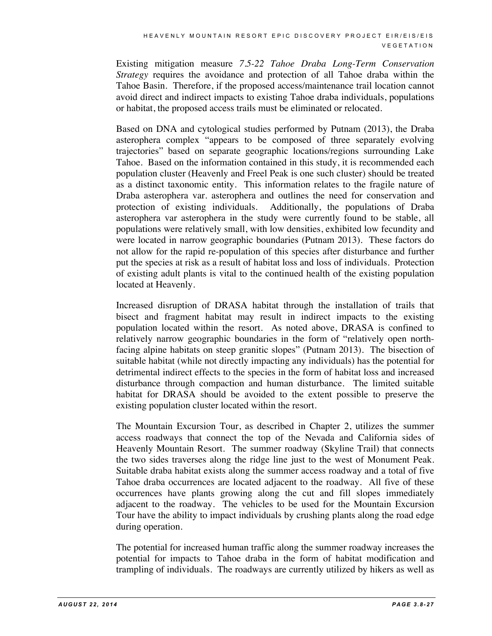Existing mitigation measure *7.5-22 Tahoe Draba Long-Term Conservation Strategy* requires the avoidance and protection of all Tahoe draba within the Tahoe Basin. Therefore, if the proposed access/maintenance trail location cannot avoid direct and indirect impacts to existing Tahoe draba individuals, populations or habitat, the proposed access trails must be eliminated or relocated.

Based on DNA and cytological studies performed by Putnam (2013), the Draba asterophera complex "appears to be composed of three separately evolving trajectories" based on separate geographic locations/regions surrounding Lake Tahoe. Based on the information contained in this study, it is recommended each population cluster (Heavenly and Freel Peak is one such cluster) should be treated as a distinct taxonomic entity. This information relates to the fragile nature of Draba asterophera var. asterophera and outlines the need for conservation and protection of existing individuals. Additionally, the populations of Draba asterophera var asterophera in the study were currently found to be stable, all populations were relatively small, with low densities, exhibited low fecundity and were located in narrow geographic boundaries (Putnam 2013). These factors do not allow for the rapid re-population of this species after disturbance and further put the species at risk as a result of habitat loss and loss of individuals. Protection of existing adult plants is vital to the continued health of the existing population located at Heavenly.

Increased disruption of DRASA habitat through the installation of trails that bisect and fragment habitat may result in indirect impacts to the existing population located within the resort. As noted above, DRASA is confined to relatively narrow geographic boundaries in the form of "relatively open northfacing alpine habitats on steep granitic slopes" (Putnam 2013). The bisection of suitable habitat (while not directly impacting any individuals) has the potential for detrimental indirect effects to the species in the form of habitat loss and increased disturbance through compaction and human disturbance. The limited suitable habitat for DRASA should be avoided to the extent possible to preserve the existing population cluster located within the resort.

The Mountain Excursion Tour, as described in Chapter 2, utilizes the summer access roadways that connect the top of the Nevada and California sides of Heavenly Mountain Resort. The summer roadway (Skyline Trail) that connects the two sides traverses along the ridge line just to the west of Monument Peak. Suitable draba habitat exists along the summer access roadway and a total of five Tahoe draba occurrences are located adjacent to the roadway. All five of these occurrences have plants growing along the cut and fill slopes immediately adjacent to the roadway. The vehicles to be used for the Mountain Excursion Tour have the ability to impact individuals by crushing plants along the road edge during operation.

The potential for increased human traffic along the summer roadway increases the potential for impacts to Tahoe draba in the form of habitat modification and trampling of individuals. The roadways are currently utilized by hikers as well as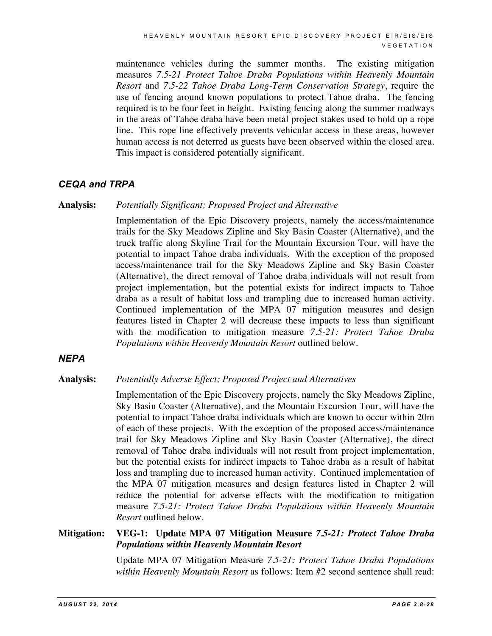maintenance vehicles during the summer months. The existing mitigation measures *7.5-21 Protect Tahoe Draba Populations within Heavenly Mountain Resort* and *7.5-22 Tahoe Draba Long-Term Conservation Strategy*, require the use of fencing around known populations to protect Tahoe draba. The fencing required is to be four feet in height. Existing fencing along the summer roadways in the areas of Tahoe draba have been metal project stakes used to hold up a rope line. This rope line effectively prevents vehicular access in these areas, however human access is not deterred as guests have been observed within the closed area. This impact is considered potentially significant.

#### *CEQA and TRPA*

#### **Analysis:** *Potentially Significant; Proposed Project and Alternative*

Implementation of the Epic Discovery projects, namely the access/maintenance trails for the Sky Meadows Zipline and Sky Basin Coaster (Alternative), and the truck traffic along Skyline Trail for the Mountain Excursion Tour, will have the potential to impact Tahoe draba individuals. With the exception of the proposed access/maintenance trail for the Sky Meadows Zipline and Sky Basin Coaster (Alternative), the direct removal of Tahoe draba individuals will not result from project implementation, but the potential exists for indirect impacts to Tahoe draba as a result of habitat loss and trampling due to increased human activity. Continued implementation of the MPA 07 mitigation measures and design features listed in Chapter 2 will decrease these impacts to less than significant with the modification to mitigation measure *7.5-21: Protect Tahoe Draba Populations within Heavenly Mountain Resort* outlined below.

#### *NEPA*

#### **Analysis:** *Potentially Adverse Effect; Proposed Project and Alternatives*

Implementation of the Epic Discovery projects, namely the Sky Meadows Zipline, Sky Basin Coaster (Alternative), and the Mountain Excursion Tour, will have the potential to impact Tahoe draba individuals which are known to occur within 20m of each of these projects. With the exception of the proposed access/maintenance trail for Sky Meadows Zipline and Sky Basin Coaster (Alternative), the direct removal of Tahoe draba individuals will not result from project implementation, but the potential exists for indirect impacts to Tahoe draba as a result of habitat loss and trampling due to increased human activity. Continued implementation of the MPA 07 mitigation measures and design features listed in Chapter 2 will reduce the potential for adverse effects with the modification to mitigation measure *7.5-21: Protect Tahoe Draba Populations within Heavenly Mountain Resort* outlined below.

#### **Mitigation: VEG-1: Update MPA 07 Mitigation Measure** *7.5-21: Protect Tahoe Draba Populations within Heavenly Mountain Resort*

Update MPA 07 Mitigation Measure *7.5-21: Protect Tahoe Draba Populations within Heavenly Mountain Resort* as follows: Item #2 second sentence shall read: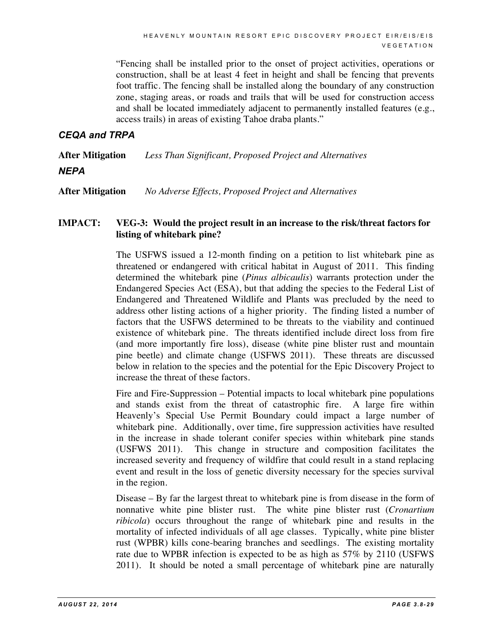"Fencing shall be installed prior to the onset of project activities, operations or construction, shall be at least 4 feet in height and shall be fencing that prevents foot traffic. The fencing shall be installed along the boundary of any construction zone, staging areas, or roads and trails that will be used for construction access and shall be located immediately adjacent to permanently installed features (e.g., access trails) in areas of existing Tahoe draba plants."

#### *CEQA and TRPA*

**After Mitigation** *Less Than Significant, Proposed Project and Alternatives NEPA*

**After Mitigation** *No Adverse Effects, Proposed Project and Alternatives*

#### **IMPACT: VEG-3: Would the project result in an increase to the risk/threat factors for listing of whitebark pine?**

The USFWS issued a 12-month finding on a petition to list whitebark pine as threatened or endangered with critical habitat in August of 2011. This finding determined the whitebark pine (*Pinus albicaulis*) warrants protection under the Endangered Species Act (ESA), but that adding the species to the Federal List of Endangered and Threatened Wildlife and Plants was precluded by the need to address other listing actions of a higher priority. The finding listed a number of factors that the USFWS determined to be threats to the viability and continued existence of whitebark pine. The threats identified include direct loss from fire (and more importantly fire loss), disease (white pine blister rust and mountain pine beetle) and climate change (USFWS 2011). These threats are discussed below in relation to the species and the potential for the Epic Discovery Project to increase the threat of these factors.

Fire and Fire-Suppression – Potential impacts to local whitebark pine populations and stands exist from the threat of catastrophic fire. A large fire within Heavenly's Special Use Permit Boundary could impact a large number of whitebark pine. Additionally, over time, fire suppression activities have resulted in the increase in shade tolerant conifer species within whitebark pine stands (USFWS 2011). This change in structure and composition facilitates the increased severity and frequency of wildfire that could result in a stand replacing event and result in the loss of genetic diversity necessary for the species survival in the region.

Disease – By far the largest threat to whitebark pine is from disease in the form of nonnative white pine blister rust. The white pine blister rust (*Cronartium ribicola*) occurs throughout the range of whitebark pine and results in the mortality of infected individuals of all age classes. Typically, white pine blister rust (WPBR) kills cone-bearing branches and seedlings. The existing mortality rate due to WPBR infection is expected to be as high as 57% by 2110 (USFWS 2011). It should be noted a small percentage of whitebark pine are naturally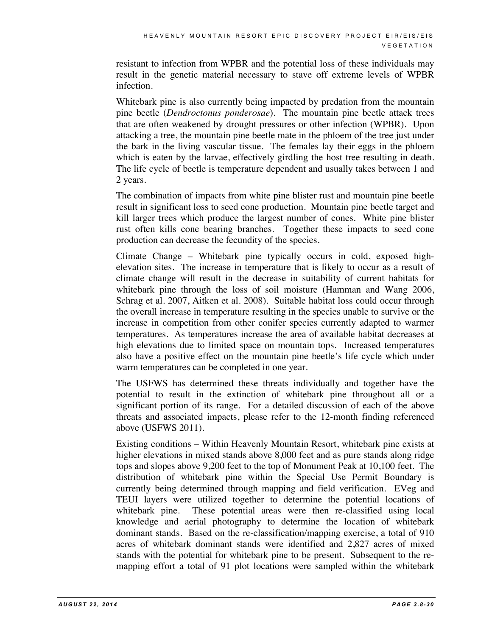resistant to infection from WPBR and the potential loss of these individuals may result in the genetic material necessary to stave off extreme levels of WPBR infection.

Whitebark pine is also currently being impacted by predation from the mountain pine beetle (*Dendroctonus ponderosae*). The mountain pine beetle attack trees that are often weakened by drought pressures or other infection (WPBR). Upon attacking a tree, the mountain pine beetle mate in the phloem of the tree just under the bark in the living vascular tissue. The females lay their eggs in the phloem which is eaten by the larvae, effectively girdling the host tree resulting in death. The life cycle of beetle is temperature dependent and usually takes between 1 and 2 years.

The combination of impacts from white pine blister rust and mountain pine beetle result in significant loss to seed cone production. Mountain pine beetle target and kill larger trees which produce the largest number of cones. White pine blister rust often kills cone bearing branches. Together these impacts to seed cone production can decrease the fecundity of the species.

Climate Change – Whitebark pine typically occurs in cold, exposed highelevation sites. The increase in temperature that is likely to occur as a result of climate change will result in the decrease in suitability of current habitats for whitebark pine through the loss of soil moisture (Hamman and Wang 2006, Schrag et al. 2007, Aitken et al. 2008). Suitable habitat loss could occur through the overall increase in temperature resulting in the species unable to survive or the increase in competition from other conifer species currently adapted to warmer temperatures. As temperatures increase the area of available habitat decreases at high elevations due to limited space on mountain tops. Increased temperatures also have a positive effect on the mountain pine beetle's life cycle which under warm temperatures can be completed in one year.

The USFWS has determined these threats individually and together have the potential to result in the extinction of whitebark pine throughout all or a significant portion of its range. For a detailed discussion of each of the above threats and associated impacts, please refer to the 12-month finding referenced above (USFWS 2011).

Existing conditions – Within Heavenly Mountain Resort, whitebark pine exists at higher elevations in mixed stands above 8,000 feet and as pure stands along ridge tops and slopes above 9,200 feet to the top of Monument Peak at 10,100 feet. The distribution of whitebark pine within the Special Use Permit Boundary is currently being determined through mapping and field verification. EVeg and TEUI layers were utilized together to determine the potential locations of whitebark pine. These potential areas were then re-classified using local knowledge and aerial photography to determine the location of whitebark dominant stands. Based on the re-classification/mapping exercise, a total of 910 acres of whitebark dominant stands were identified and 2,827 acres of mixed stands with the potential for whitebark pine to be present. Subsequent to the remapping effort a total of 91 plot locations were sampled within the whitebark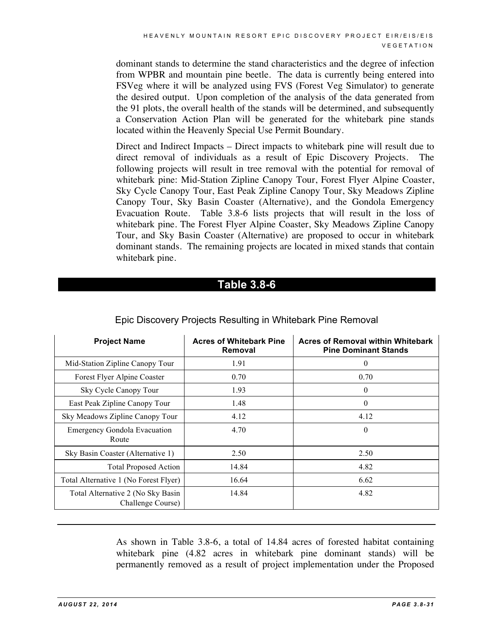dominant stands to determine the stand characteristics and the degree of infection from WPBR and mountain pine beetle. The data is currently being entered into FSVeg where it will be analyzed using FVS (Forest Veg Simulator) to generate the desired output. Upon completion of the analysis of the data generated from the 91 plots, the overall health of the stands will be determined, and subsequently a Conservation Action Plan will be generated for the whitebark pine stands located within the Heavenly Special Use Permit Boundary.

Direct and Indirect Impacts – Direct impacts to whitebark pine will result due to direct removal of individuals as a result of Epic Discovery Projects. The following projects will result in tree removal with the potential for removal of whitebark pine: Mid-Station Zipline Canopy Tour, Forest Flyer Alpine Coaster, Sky Cycle Canopy Tour, East Peak Zipline Canopy Tour, Sky Meadows Zipline Canopy Tour, Sky Basin Coaster (Alternative), and the Gondola Emergency Evacuation Route. Table 3.8-6 lists projects that will result in the loss of whitebark pine. The Forest Flyer Alpine Coaster, Sky Meadows Zipline Canopy Tour, and Sky Basin Coaster (Alternative) are proposed to occur in whitebark dominant stands. The remaining projects are located in mixed stands that contain whitebark pine.

## **Table 3.8-6**

| <b>Project Name</b>                                    | <b>Acres of Whitebark Pine</b><br>Removal | <b>Acres of Removal within Whitebark</b><br><b>Pine Dominant Stands</b> |
|--------------------------------------------------------|-------------------------------------------|-------------------------------------------------------------------------|
| Mid-Station Zipline Canopy Tour                        | 1.91                                      | $\theta$                                                                |
| Forest Flyer Alpine Coaster                            | 0.70                                      | 0.70                                                                    |
| Sky Cycle Canopy Tour                                  | 1.93                                      | 0                                                                       |
| East Peak Zipline Canopy Tour                          | 1.48                                      | $\mathbf{0}$                                                            |
| Sky Meadows Zipline Canopy Tour                        | 4.12                                      | 4.12                                                                    |
| <b>Emergency Gondola Evacuation</b><br>Route           | 4.70                                      | $\boldsymbol{0}$                                                        |
| Sky Basin Coaster (Alternative 1)                      | 2.50                                      | 2.50                                                                    |
| <b>Total Proposed Action</b>                           | 14.84                                     | 4.82                                                                    |
| Total Alternative 1 (No Forest Flyer)                  | 16.64                                     | 6.62                                                                    |
| Total Alternative 2 (No Sky Basin<br>Challenge Course) | 14.84                                     | 4.82                                                                    |

#### Epic Discovery Projects Resulting in Whitebark Pine Removal

As shown in Table 3.8-6, a total of 14.84 acres of forested habitat containing whitebark pine (4.82 acres in whitebark pine dominant stands) will be permanently removed as a result of project implementation under the Proposed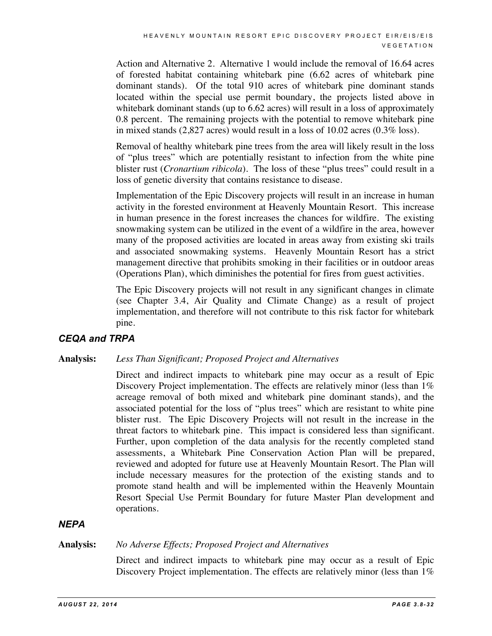Action and Alternative 2. Alternative 1 would include the removal of 16.64 acres of forested habitat containing whitebark pine (6.62 acres of whitebark pine dominant stands). Of the total 910 acres of whitebark pine dominant stands located within the special use permit boundary, the projects listed above in whitebark dominant stands (up to 6.62 acres) will result in a loss of approximately 0.8 percent. The remaining projects with the potential to remove whitebark pine in mixed stands (2,827 acres) would result in a loss of 10.02 acres (0.3% loss).

Removal of healthy whitebark pine trees from the area will likely result in the loss of "plus trees" which are potentially resistant to infection from the white pine blister rust (*Cronartium ribicola*). The loss of these "plus trees" could result in a loss of genetic diversity that contains resistance to disease.

Implementation of the Epic Discovery projects will result in an increase in human activity in the forested environment at Heavenly Mountain Resort. This increase in human presence in the forest increases the chances for wildfire. The existing snowmaking system can be utilized in the event of a wildfire in the area, however many of the proposed activities are located in areas away from existing ski trails and associated snowmaking systems. Heavenly Mountain Resort has a strict management directive that prohibits smoking in their facilities or in outdoor areas (Operations Plan), which diminishes the potential for fires from guest activities.

The Epic Discovery projects will not result in any significant changes in climate (see Chapter 3.4, Air Quality and Climate Change) as a result of project implementation, and therefore will not contribute to this risk factor for whitebark pine.

#### *CEQA and TRPA*

#### **Analysis:** *Less Than Significant; Proposed Project and Alternatives*

Direct and indirect impacts to whitebark pine may occur as a result of Epic Discovery Project implementation. The effects are relatively minor (less than 1%) acreage removal of both mixed and whitebark pine dominant stands), and the associated potential for the loss of "plus trees" which are resistant to white pine blister rust. The Epic Discovery Projects will not result in the increase in the threat factors to whitebark pine. This impact is considered less than significant. Further, upon completion of the data analysis for the recently completed stand assessments, a Whitebark Pine Conservation Action Plan will be prepared, reviewed and adopted for future use at Heavenly Mountain Resort. The Plan will include necessary measures for the protection of the existing stands and to promote stand health and will be implemented within the Heavenly Mountain Resort Special Use Permit Boundary for future Master Plan development and operations.

#### *NEPA*

#### **Analysis:** *No Adverse Effects; Proposed Project and Alternatives*

Direct and indirect impacts to whitebark pine may occur as a result of Epic Discovery Project implementation. The effects are relatively minor (less than 1%)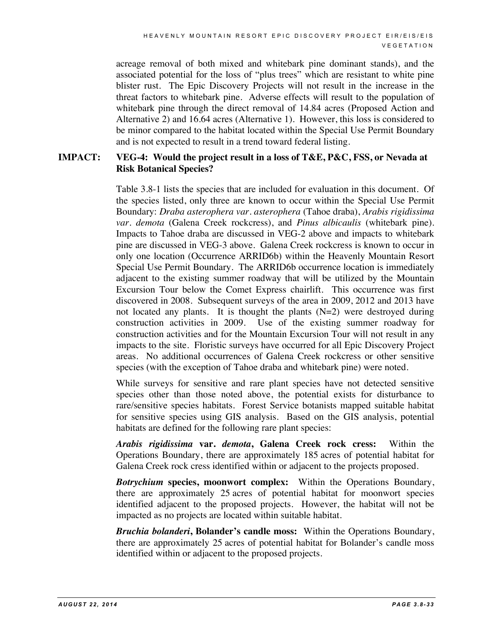acreage removal of both mixed and whitebark pine dominant stands), and the associated potential for the loss of "plus trees" which are resistant to white pine blister rust. The Epic Discovery Projects will not result in the increase in the threat factors to whitebark pine. Adverse effects will result to the population of whitebark pine through the direct removal of 14.84 acres (Proposed Action and Alternative 2) and 16.64 acres (Alternative 1). However, this loss is considered to be minor compared to the habitat located within the Special Use Permit Boundary and is not expected to result in a trend toward federal listing.

#### **IMPACT: VEG-4: Would the project result in a loss of T&E, P&C, FSS, or Nevada at Risk Botanical Species?**

Table 3.8-1 lists the species that are included for evaluation in this document. Of the species listed, only three are known to occur within the Special Use Permit Boundary: *Draba asterophera var. asterophera* (Tahoe draba), *Arabis rigidissima var. demota* (Galena Creek rockcress), and *Pinus albicaulis* (whitebark pine). Impacts to Tahoe draba are discussed in VEG-2 above and impacts to whitebark pine are discussed in VEG-3 above. Galena Creek rockcress is known to occur in only one location (Occurrence ARRID6b) within the Heavenly Mountain Resort Special Use Permit Boundary. The ARRID6b occurrence location is immediately adjacent to the existing summer roadway that will be utilized by the Mountain Excursion Tour below the Comet Express chairlift. This occurrence was first discovered in 2008. Subsequent surveys of the area in 2009, 2012 and 2013 have not located any plants. It is thought the plants  $(N=2)$  were destroyed during construction activities in 2009. Use of the existing summer roadway for construction activities and for the Mountain Excursion Tour will not result in any impacts to the site. Floristic surveys have occurred for all Epic Discovery Project areas. No additional occurrences of Galena Creek rockcress or other sensitive species (with the exception of Tahoe draba and whitebark pine) were noted.

While surveys for sensitive and rare plant species have not detected sensitive species other than those noted above, the potential exists for disturbance to rare/sensitive species habitats. Forest Service botanists mapped suitable habitat for sensitive species using GIS analysis. Based on the GIS analysis, potential habitats are defined for the following rare plant species:

*Arabis rigidissima* **var.** *demota***, Galena Creek rock cress:** Within the Operations Boundary, there are approximately 185 acres of potential habitat for Galena Creek rock cress identified within or adjacent to the projects proposed.

*Botrychium* **species, moonwort complex:** Within the Operations Boundary, there are approximately 25 acres of potential habitat for moonwort species identified adjacent to the proposed projects. However, the habitat will not be impacted as no projects are located within suitable habitat.

*Bruchia bolanderi***, Bolander's candle moss:** Within the Operations Boundary, there are approximately 25 acres of potential habitat for Bolander's candle moss identified within or adjacent to the proposed projects.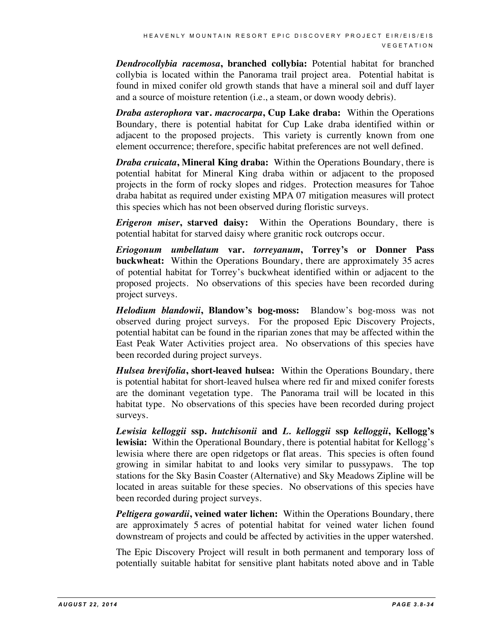*Dendrocollybia racemosa***, branched collybia:** Potential habitat for branched collybia is located within the Panorama trail project area. Potential habitat is found in mixed conifer old growth stands that have a mineral soil and duff layer and a source of moisture retention (i.e., a steam, or down woody debris).

*Draba asterophora* **var.** *macrocarpa***, Cup Lake draba:** Within the Operations Boundary, there is potential habitat for Cup Lake draba identified within or adjacent to the proposed projects. This variety is currently known from one element occurrence; therefore, specific habitat preferences are not well defined.

*Draba cruicata***, Mineral King draba:** Within the Operations Boundary, there is potential habitat for Mineral King draba within or adjacent to the proposed projects in the form of rocky slopes and ridges. Protection measures for Tahoe draba habitat as required under existing MPA 07 mitigation measures will protect this species which has not been observed during floristic surveys.

*Erigeron miser***, starved daisy:** Within the Operations Boundary, there is potential habitat for starved daisy where granitic rock outcrops occur.

*Eriogonum umbellatum* **var.** *torreyanum***, Torrey's or Donner Pass buckwheat:** Within the Operations Boundary, there are approximately 35 acres of potential habitat for Torrey's buckwheat identified within or adjacent to the proposed projects. No observations of this species have been recorded during project surveys.

*Helodium blandowii***, Blandow's bog-moss:** Blandow's bog-moss was not observed during project surveys. For the proposed Epic Discovery Projects, potential habitat can be found in the riparian zones that may be affected within the East Peak Water Activities project area. No observations of this species have been recorded during project surveys.

*Hulsea brevifolia***, short-leaved hulsea:** Within the Operations Boundary, there is potential habitat for short-leaved hulsea where red fir and mixed conifer forests are the dominant vegetation type. The Panorama trail will be located in this habitat type. No observations of this species have been recorded during project surveys.

*Lewisia kelloggii* **ssp.** *hutchisonii* **and** *L. kelloggii* **ssp** *kelloggii***, Kellogg's lewisia:** Within the Operational Boundary, there is potential habitat for Kellogg's lewisia where there are open ridgetops or flat areas. This species is often found growing in similar habitat to and looks very similar to pussypaws. The top stations for the Sky Basin Coaster (Alternative) and Sky Meadows Zipline will be located in areas suitable for these species. No observations of this species have been recorded during project surveys.

*Peltigera gowardii***, veined water lichen:** Within the Operations Boundary, there are approximately 5 acres of potential habitat for veined water lichen found downstream of projects and could be affected by activities in the upper watershed.

The Epic Discovery Project will result in both permanent and temporary loss of potentially suitable habitat for sensitive plant habitats noted above and in Table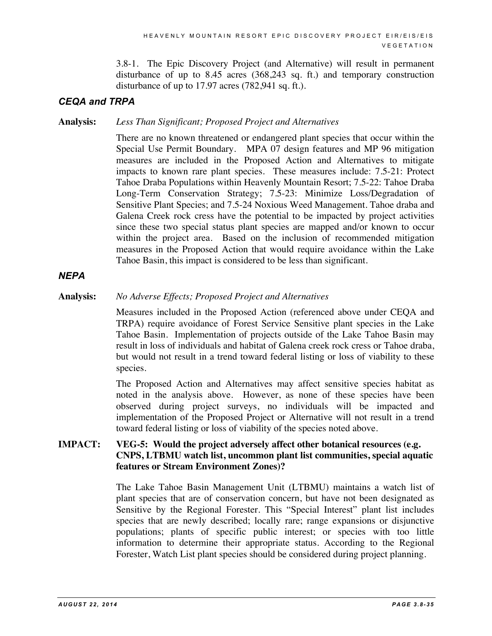3.8-1. The Epic Discovery Project (and Alternative) will result in permanent disturbance of up to 8.45 acres (368,243 sq. ft.) and temporary construction disturbance of up to 17.97 acres (782,941 sq. ft.).

#### *CEQA and TRPA*

**Analysis:** *Less Than Significant; Proposed Project and Alternatives*

There are no known threatened or endangered plant species that occur within the Special Use Permit Boundary. MPA 07 design features and MP 96 mitigation measures are included in the Proposed Action and Alternatives to mitigate impacts to known rare plant species. These measures include: 7.5-21: Protect Tahoe Draba Populations within Heavenly Mountain Resort; 7.5-22: Tahoe Draba Long-Term Conservation Strategy; 7.5-23: Minimize Loss/Degradation of Sensitive Plant Species; and 7.5-24 Noxious Weed Management. Tahoe draba and Galena Creek rock cress have the potential to be impacted by project activities since these two special status plant species are mapped and/or known to occur within the project area. Based on the inclusion of recommended mitigation measures in the Proposed Action that would require avoidance within the Lake Tahoe Basin, this impact is considered to be less than significant.

#### *NEPA*

**Analysis:** *No Adverse Effects; Proposed Project and Alternatives*

Measures included in the Proposed Action (referenced above under CEQA and TRPA) require avoidance of Forest Service Sensitive plant species in the Lake Tahoe Basin. Implementation of projects outside of the Lake Tahoe Basin may result in loss of individuals and habitat of Galena creek rock cress or Tahoe draba, but would not result in a trend toward federal listing or loss of viability to these species.

The Proposed Action and Alternatives may affect sensitive species habitat as noted in the analysis above. However, as none of these species have been observed during project surveys, no individuals will be impacted and implementation of the Proposed Project or Alternative will not result in a trend toward federal listing or loss of viability of the species noted above.

#### **IMPACT: VEG-5: Would the project adversely affect other botanical resources (e.g. CNPS, LTBMU watch list, uncommon plant list communities, special aquatic features or Stream Environment Zones)?**

The Lake Tahoe Basin Management Unit (LTBMU) maintains a watch list of plant species that are of conservation concern, but have not been designated as Sensitive by the Regional Forester. This "Special Interest" plant list includes species that are newly described; locally rare; range expansions or disjunctive populations; plants of specific public interest; or species with too little information to determine their appropriate status. According to the Regional Forester, Watch List plant species should be considered during project planning.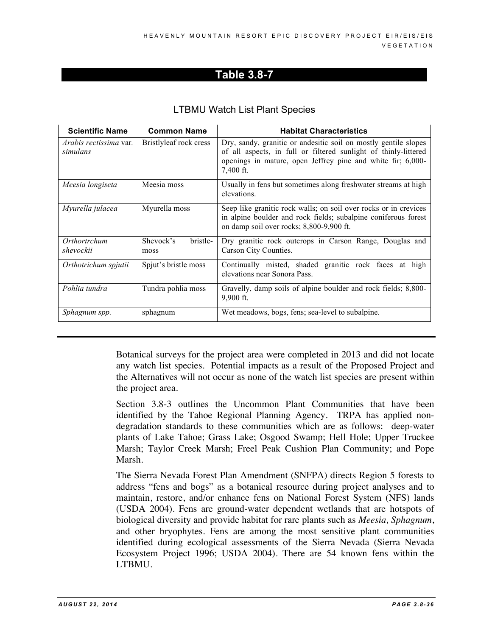#### LTBMU Watch List Plant Species

| <b>Scientific Name</b>                    | <b>Common Name</b>            | <b>Habitat Characteristics</b>                                                                                                                                                                                 |
|-------------------------------------------|-------------------------------|----------------------------------------------------------------------------------------------------------------------------------------------------------------------------------------------------------------|
| <i>Arabis rectissima</i> var.<br>simulans | Bristlyleaf rock cress        | Dry, sandy, granitic or andesitic soil on mostly gentile slopes<br>of all aspects, in full or filtered sunlight of thinly-littered<br>openings in mature, open Jeffrey pine and white fir; 6,000-<br>7,400 ft. |
| Meesia longiseta                          | Meesia moss                   | Usually in fens but sometimes along freshwater streams at high<br>elevations.                                                                                                                                  |
| Myurella julacea                          | Myurella moss                 | Seep like granitic rock walls; on soil over rocks or in crevices<br>in alpine boulder and rock fields; subalpine coniferous forest<br>on damp soil over rocks; 8,800-9,900 ft.                                 |
| Orthortrchum<br>shevockii                 | bristle-<br>Shevock's<br>moss | Dry granitic rock outcrops in Carson Range, Douglas and<br>Carson City Counties.                                                                                                                               |
| Orthotrichum spjutii                      | Spjut's bristle moss          | Continually misted, shaded granitic rock faces at high<br>elevations near Sonora Pass.                                                                                                                         |
| Pohlia tundra                             | Tundra pohlia moss            | Gravelly, damp soils of alpine boulder and rock fields; 8,800-<br>9,900 ft.                                                                                                                                    |
| Sphagnum spp.                             | sphagnum                      | Wet meadows, bogs, fens; sea-level to subalpine.                                                                                                                                                               |

Botanical surveys for the project area were completed in 2013 and did not locate any watch list species. Potential impacts as a result of the Proposed Project and the Alternatives will not occur as none of the watch list species are present within the project area.

Section 3.8-3 outlines the Uncommon Plant Communities that have been identified by the Tahoe Regional Planning Agency. TRPA has applied nondegradation standards to these communities which are as follows: deep-water plants of Lake Tahoe; Grass Lake; Osgood Swamp; Hell Hole; Upper Truckee Marsh; Taylor Creek Marsh; Freel Peak Cushion Plan Community; and Pope Marsh.

The Sierra Nevada Forest Plan Amendment (SNFPA) directs Region 5 forests to address "fens and bogs" as a botanical resource during project analyses and to maintain, restore, and/or enhance fens on National Forest System (NFS) lands (USDA 2004). Fens are ground-water dependent wetlands that are hotspots of biological diversity and provide habitat for rare plants such as *Meesia, Sphagnum*, and other bryophytes. Fens are among the most sensitive plant communities identified during ecological assessments of the Sierra Nevada (Sierra Nevada Ecosystem Project 1996; USDA 2004). There are 54 known fens within the LTBMU.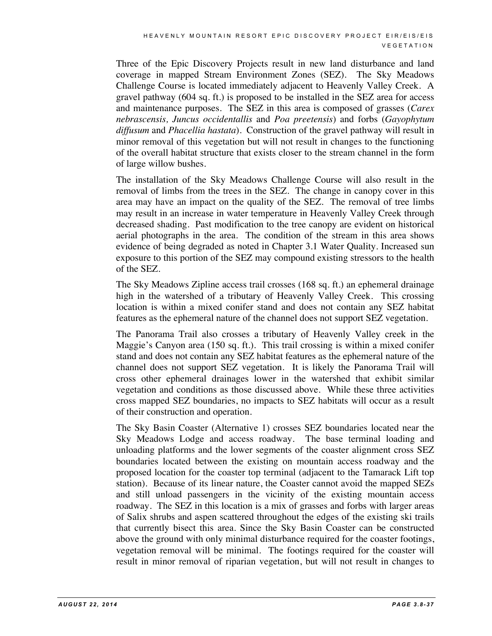Three of the Epic Discovery Projects result in new land disturbance and land coverage in mapped Stream Environment Zones (SEZ). The Sky Meadows Challenge Course is located immediately adjacent to Heavenly Valley Creek. A gravel pathway (604 sq. ft.) is proposed to be installed in the SEZ area for access and maintenance purposes. The SEZ in this area is composed of grasses (*Carex nebrascensis, Juncus occidentallis* and *Poa preetensis*) and forbs (*Gayophytum diffusum* and *Phacellia hastata*). Construction of the gravel pathway will result in minor removal of this vegetation but will not result in changes to the functioning of the overall habitat structure that exists closer to the stream channel in the form of large willow bushes.

The installation of the Sky Meadows Challenge Course will also result in the removal of limbs from the trees in the SEZ. The change in canopy cover in this area may have an impact on the quality of the SEZ. The removal of tree limbs may result in an increase in water temperature in Heavenly Valley Creek through decreased shading. Past modification to the tree canopy are evident on historical aerial photographs in the area. The condition of the stream in this area shows evidence of being degraded as noted in Chapter 3.1 Water Quality. Increased sun exposure to this portion of the SEZ may compound existing stressors to the health of the SEZ.

The Sky Meadows Zipline access trail crosses (168 sq. ft.) an ephemeral drainage high in the watershed of a tributary of Heavenly Valley Creek. This crossing location is within a mixed conifer stand and does not contain any SEZ habitat features as the ephemeral nature of the channel does not support SEZ vegetation.

The Panorama Trail also crosses a tributary of Heavenly Valley creek in the Maggie's Canyon area (150 sq. ft.). This trail crossing is within a mixed conifer stand and does not contain any SEZ habitat features as the ephemeral nature of the channel does not support SEZ vegetation. It is likely the Panorama Trail will cross other ephemeral drainages lower in the watershed that exhibit similar vegetation and conditions as those discussed above. While these three activities cross mapped SEZ boundaries, no impacts to SEZ habitats will occur as a result of their construction and operation.

The Sky Basin Coaster (Alternative 1) crosses SEZ boundaries located near the Sky Meadows Lodge and access roadway. The base terminal loading and unloading platforms and the lower segments of the coaster alignment cross SEZ boundaries located between the existing on mountain access roadway and the proposed location for the coaster top terminal (adjacent to the Tamarack Lift top station). Because of its linear nature, the Coaster cannot avoid the mapped SEZs and still unload passengers in the vicinity of the existing mountain access roadway. The SEZ in this location is a mix of grasses and forbs with larger areas of Salix shrubs and aspen scattered throughout the edges of the existing ski trails that currently bisect this area. Since the Sky Basin Coaster can be constructed above the ground with only minimal disturbance required for the coaster footings, vegetation removal will be minimal. The footings required for the coaster will result in minor removal of riparian vegetation, but will not result in changes to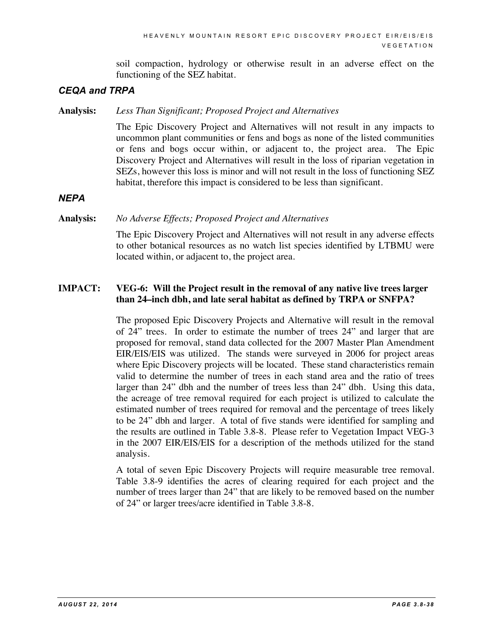soil compaction, hydrology or otherwise result in an adverse effect on the functioning of the SEZ habitat.

#### *CEQA and TRPA*

**Analysis:** *Less Than Significant; Proposed Project and Alternatives*

The Epic Discovery Project and Alternatives will not result in any impacts to uncommon plant communities or fens and bogs as none of the listed communities or fens and bogs occur within, or adjacent to, the project area. The Epic Discovery Project and Alternatives will result in the loss of riparian vegetation in SEZs, however this loss is minor and will not result in the loss of functioning SEZ habitat, therefore this impact is considered to be less than significant.

*NEPA*

#### **Analysis:** *No Adverse Effects; Proposed Project and Alternatives*

The Epic Discovery Project and Alternatives will not result in any adverse effects to other botanical resources as no watch list species identified by LTBMU were located within, or adjacent to, the project area.

#### **IMPACT: VEG-6: Will the Project result in the removal of any native live trees larger than 24–inch dbh, and late seral habitat as defined by TRPA or SNFPA?**

The proposed Epic Discovery Projects and Alternative will result in the removal of 24" trees. In order to estimate the number of trees 24" and larger that are proposed for removal, stand data collected for the 2007 Master Plan Amendment EIR/EIS/EIS was utilized. The stands were surveyed in 2006 for project areas where Epic Discovery projects will be located. These stand characteristics remain valid to determine the number of trees in each stand area and the ratio of trees larger than 24" dbh and the number of trees less than 24" dbh. Using this data, the acreage of tree removal required for each project is utilized to calculate the estimated number of trees required for removal and the percentage of trees likely to be 24" dbh and larger. A total of five stands were identified for sampling and the results are outlined in Table 3.8-8. Please refer to Vegetation Impact VEG-3 in the 2007 EIR/EIS/EIS for a description of the methods utilized for the stand analysis.

A total of seven Epic Discovery Projects will require measurable tree removal. Table 3.8-9 identifies the acres of clearing required for each project and the number of trees larger than 24" that are likely to be removed based on the number of 24" or larger trees/acre identified in Table 3.8-8.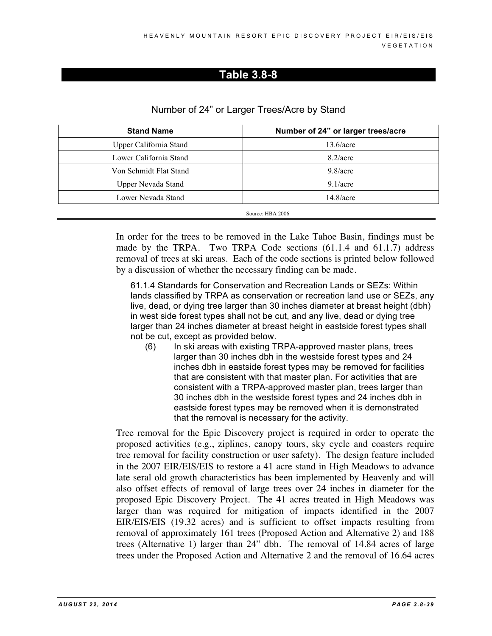|                   | $1.1$ and $1.901$ and $1.900$ and $1.000$ and $1.000$ and $1.000$ and $1.000$ and $1.000$ and $1.000$ and $1.000$ and $1.000$ and $1.000$ and $1.000$ and $1.000$ and $1.000$ and $1.000$ and $1.000$ and $1.000$ and $1.000$ |
|-------------------|-------------------------------------------------------------------------------------------------------------------------------------------------------------------------------------------------------------------------------|
| <b>Stand Name</b> | Number of 24" or larger trees                                                                                                                                                                                                 |
|                   |                                                                                                                                                                                                                               |

Number of 24" or Larger Trees/Acre by Stand

| <b>Stand Name</b>      | Number of 24" or larger trees/acre |
|------------------------|------------------------------------|
| Upper California Stand | 13.6/acre                          |
| Lower California Stand | $8.2/$ acre                        |
| Von Schmidt Flat Stand | $9.8/$ acre                        |
| Upper Nevada Stand     | $9.1/$ acre                        |
| Lower Nevada Stand     | 14.8/acre                          |
|                        | Source: HBA 2006                   |

In order for the trees to be removed in the Lake Tahoe Basin, findings must be made by the TRPA. Two TRPA Code sections (61.1.4 and 61.1.7) address removal of trees at ski areas. Each of the code sections is printed below followed by a discussion of whether the necessary finding can be made.

61.1.4 Standards for Conservation and Recreation Lands or SEZs: Within lands classified by TRPA as conservation or recreation land use or SEZs, any live, dead, or dying tree larger than 30 inches diameter at breast height (dbh) in west side forest types shall not be cut, and any live, dead or dying tree larger than 24 inches diameter at breast height in eastside forest types shall not be cut, except as provided below.

(6) In ski areas with existing TRPA-approved master plans, trees larger than 30 inches dbh in the westside forest types and 24 inches dbh in eastside forest types may be removed for facilities that are consistent with that master plan. For activities that are consistent with a TRPA-approved master plan, trees larger than 30 inches dbh in the westside forest types and 24 inches dbh in eastside forest types may be removed when it is demonstrated that the removal is necessary for the activity.

Tree removal for the Epic Discovery project is required in order to operate the proposed activities (e.g., ziplines, canopy tours, sky cycle and coasters require tree removal for facility construction or user safety). The design feature included in the 2007 EIR/EIS/EIS to restore a 41 acre stand in High Meadows to advance late seral old growth characteristics has been implemented by Heavenly and will also offset effects of removal of large trees over 24 inches in diameter for the proposed Epic Discovery Project. The 41 acres treated in High Meadows was larger than was required for mitigation of impacts identified in the 2007 EIR/EIS/EIS (19.32 acres) and is sufficient to offset impacts resulting from removal of approximately 161 trees (Proposed Action and Alternative 2) and 188 trees (Alternative 1) larger than 24" dbh. The removal of 14.84 acres of large trees under the Proposed Action and Alternative 2 and the removal of 16.64 acres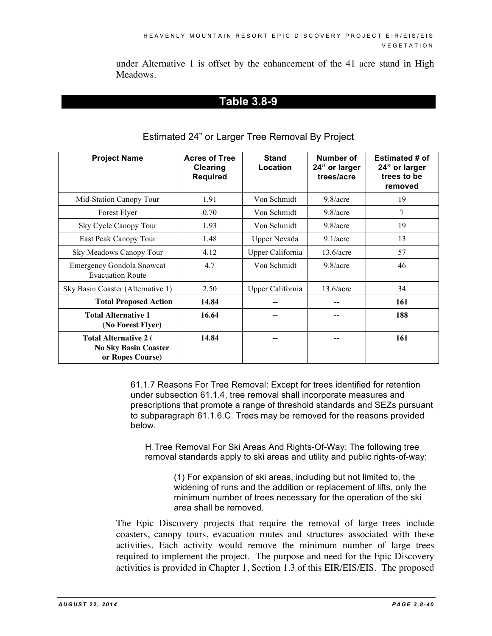under Alternative 1 is offset by the enhancement of the 41 acre stand in High Meadows.

#### **Table 3.8-9**

| <b>Project Name</b>                                                             | <b>Acres of Tree</b><br><b>Clearing</b><br><b>Required</b> | <b>Stand</b><br>Location | Number of<br>24" or larger<br>trees/acre | <b>Estimated # of</b><br>24" or larger<br>trees to be<br>removed |
|---------------------------------------------------------------------------------|------------------------------------------------------------|--------------------------|------------------------------------------|------------------------------------------------------------------|
| Mid-Station Canopy Tour                                                         | 1.91                                                       | Von Schmidt              | $9.8/$ acre                              | 19                                                               |
| Forest Flyer                                                                    | 0.70                                                       | Von Schmidt              | $9.8/$ acre                              | 7                                                                |
| Sky Cycle Canopy Tour                                                           | 1.93                                                       | Von Schmidt              | $9.8/$ acre                              | 19                                                               |
| East Peak Canopy Tour                                                           | 1.48                                                       | <b>Upper Nevada</b>      | $9.1/$ acre                              | 13                                                               |
| Sky Meadows Canopy Tour                                                         | 4.12                                                       | Upper California         | 13.6/acre                                | 57                                                               |
| <b>Emergency Gondola Snowcat</b><br><b>Evacuation Route</b>                     | 4.7                                                        | Von Schmidt              | $9.8/$ acre                              | 46                                                               |
| Sky Basin Coaster (Alternative 1)                                               | 2.50                                                       | Upper California         | 13.6/acre                                | 34                                                               |
| <b>Total Proposed Action</b>                                                    | 14.84                                                      |                          |                                          | 161                                                              |
| <b>Total Alternative 1</b><br>(No Forest Flyer)                                 | 16.64                                                      |                          |                                          | 188                                                              |
| <b>Total Alternative 2 (</b><br><b>No Sky Basin Coaster</b><br>or Ropes Course) | 14.84                                                      |                          |                                          | 161                                                              |

#### Estimated 24" or Larger Tree Removal By Project

61.1.7 Reasons For Tree Removal: Except for trees identified for retention under subsection 61.1.4, tree removal shall incorporate measures and prescriptions that promote a range of threshold standards and SEZs pursuant to subparagraph 61.1.6.C. Trees may be removed for the reasons provided below.

H. Tree Removal For Ski Areas And Rights-Of-Way: The following tree removal standards apply to ski areas and utility and public rights-of-way:

> (1) For expansion of ski areas, including but not limited to, the widening of runs and the addition or replacement of lifts, only the minimum number of trees necessary for the operation of the ski area shall be removed.

The Epic Discovery projects that require the removal of large trees include coasters, canopy tours, evacuation routes and structures associated with these activities. Each activity would remove the minimum number of large trees required to implement the project. The purpose and need for the Epic Discovery activities is provided in Chapter 1, Section 1.3 of this EIR/EIS/EIS. The proposed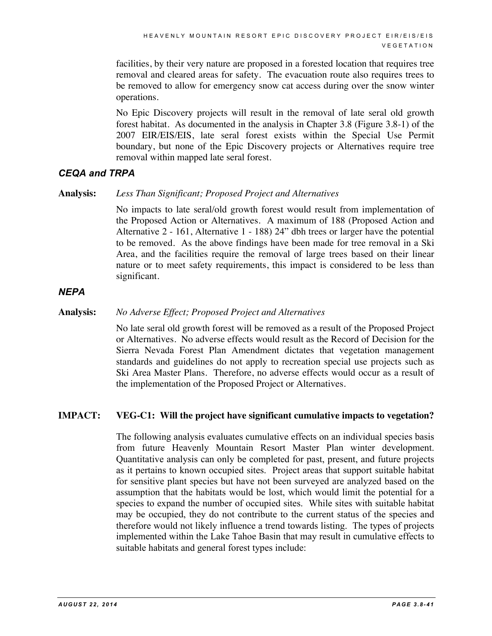facilities, by their very nature are proposed in a forested location that requires tree removal and cleared areas for safety. The evacuation route also requires trees to be removed to allow for emergency snow cat access during over the snow winter operations.

No Epic Discovery projects will result in the removal of late seral old growth forest habitat. As documented in the analysis in Chapter 3.8 (Figure 3.8-1) of the 2007 EIR/EIS/EIS, late seral forest exists within the Special Use Permit boundary, but none of the Epic Discovery projects or Alternatives require tree removal within mapped late seral forest.

#### *CEQA and TRPA*

#### **Analysis:** *Less Than Significant; Proposed Project and Alternatives*

No impacts to late seral/old growth forest would result from implementation of the Proposed Action or Alternatives. A maximum of 188 (Proposed Action and Alternative 2 - 161, Alternative 1 - 188) 24" dbh trees or larger have the potential to be removed. As the above findings have been made for tree removal in a Ski Area, and the facilities require the removal of large trees based on their linear nature or to meet safety requirements, this impact is considered to be less than significant.

#### *NEPA*

#### **Analysis:** *No Adverse Effect; Proposed Project and Alternatives*

No late seral old growth forest will be removed as a result of the Proposed Project or Alternatives. No adverse effects would result as the Record of Decision for the Sierra Nevada Forest Plan Amendment dictates that vegetation management standards and guidelines do not apply to recreation special use projects such as Ski Area Master Plans. Therefore, no adverse effects would occur as a result of the implementation of the Proposed Project or Alternatives.

#### **IMPACT: VEG-C1: Will the project have significant cumulative impacts to vegetation?**

The following analysis evaluates cumulative effects on an individual species basis from future Heavenly Mountain Resort Master Plan winter development. Quantitative analysis can only be completed for past, present, and future projects as it pertains to known occupied sites. Project areas that support suitable habitat for sensitive plant species but have not been surveyed are analyzed based on the assumption that the habitats would be lost, which would limit the potential for a species to expand the number of occupied sites. While sites with suitable habitat may be occupied, they do not contribute to the current status of the species and therefore would not likely influence a trend towards listing. The types of projects implemented within the Lake Tahoe Basin that may result in cumulative effects to suitable habitats and general forest types include: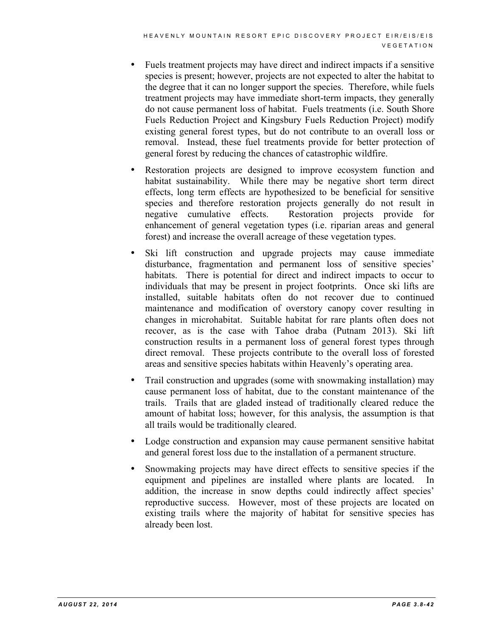- Fuels treatment projects may have direct and indirect impacts if a sensitive species is present; however, projects are not expected to alter the habitat to the degree that it can no longer support the species. Therefore, while fuels treatment projects may have immediate short-term impacts, they generally do not cause permanent loss of habitat. Fuels treatments (i.e. South Shore Fuels Reduction Project and Kingsbury Fuels Reduction Project) modify existing general forest types, but do not contribute to an overall loss or removal. Instead, these fuel treatments provide for better protection of general forest by reducing the chances of catastrophic wildfire.
- Restoration projects are designed to improve ecosystem function and habitat sustainability. While there may be negative short term direct effects, long term effects are hypothesized to be beneficial for sensitive species and therefore restoration projects generally do not result in negative cumulative effects. Restoration projects provide for enhancement of general vegetation types (i.e. riparian areas and general forest) and increase the overall acreage of these vegetation types.
- Ski lift construction and upgrade projects may cause immediate disturbance, fragmentation and permanent loss of sensitive species' habitats. There is potential for direct and indirect impacts to occur to individuals that may be present in project footprints. Once ski lifts are installed, suitable habitats often do not recover due to continued maintenance and modification of overstory canopy cover resulting in changes in microhabitat. Suitable habitat for rare plants often does not recover, as is the case with Tahoe draba (Putnam 2013). Ski lift construction results in a permanent loss of general forest types through direct removal. These projects contribute to the overall loss of forested areas and sensitive species habitats within Heavenly's operating area.
- Trail construction and upgrades (some with snowmaking installation) may cause permanent loss of habitat, due to the constant maintenance of the trails. Trails that are gladed instead of traditionally cleared reduce the amount of habitat loss; however, for this analysis, the assumption is that all trails would be traditionally cleared.
- Lodge construction and expansion may cause permanent sensitive habitat and general forest loss due to the installation of a permanent structure.
- Snowmaking projects may have direct effects to sensitive species if the equipment and pipelines are installed where plants are located. In addition, the increase in snow depths could indirectly affect species' reproductive success. However, most of these projects are located on existing trails where the majority of habitat for sensitive species has already been lost.